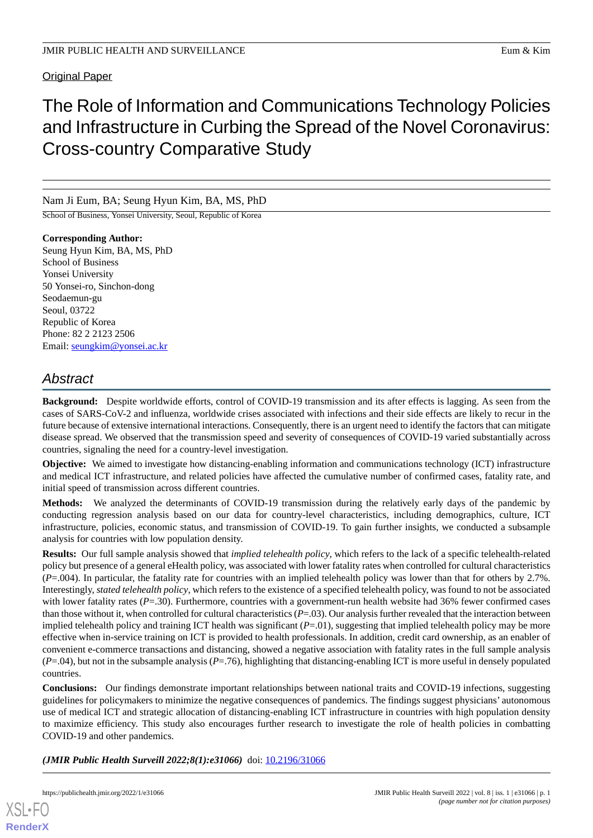Original Paper

# The Role of Information and Communications Technology Policies and Infrastructure in Curbing the Spread of the Novel Coronavirus: Cross-country Comparative Study

Nam Ji Eum, BA; Seung Hyun Kim, BA, MS, PhD

School of Business, Yonsei University, Seoul, Republic of Korea

**Corresponding Author:** Seung Hyun Kim, BA, MS, PhD School of Business Yonsei University 50 Yonsei-ro, Sinchon-dong Seodaemun-gu Seoul, 03722 Republic of Korea Phone: 82 2 2123 2506 Email: [seungkim@yonsei.ac.kr](mailto:seungkim@yonsei.ac.kr)

# *Abstract*

**Background:** Despite worldwide efforts, control of COVID-19 transmission and its after effects is lagging. As seen from the cases of SARS-CoV-2 and influenza, worldwide crises associated with infections and their side effects are likely to recur in the future because of extensive international interactions. Consequently, there is an urgent need to identify the factors that can mitigate disease spread. We observed that the transmission speed and severity of consequences of COVID-19 varied substantially across countries, signaling the need for a country-level investigation.

**Objective:** We aimed to investigate how distancing-enabling information and communications technology (ICT) infrastructure and medical ICT infrastructure, and related policies have affected the cumulative number of confirmed cases, fatality rate, and initial speed of transmission across different countries.

**Methods:** We analyzed the determinants of COVID-19 transmission during the relatively early days of the pandemic by conducting regression analysis based on our data for country-level characteristics, including demographics, culture, ICT infrastructure, policies, economic status, and transmission of COVID-19. To gain further insights, we conducted a subsample analysis for countries with low population density.

**Results:** Our full sample analysis showed that *implied telehealth policy*, which refers to the lack of a specific telehealth-related policy but presence of a general eHealth policy, was associated with lower fatality rates when controlled for cultural characteristics (*P*=.004). In particular, the fatality rate for countries with an implied telehealth policy was lower than that for others by 2.7%. Interestingly, *stated telehealth policy*, which refers to the existence of a specified telehealth policy, was found to not be associated with lower fatality rates (*P*=.30). Furthermore, countries with a government-run health website had 36% fewer confirmed cases than those without it, when controlled for cultural characteristics (*P*=.03). Our analysis further revealed that the interaction between implied telehealth policy and training ICT health was significant (*P*=.01), suggesting that implied telehealth policy may be more effective when in-service training on ICT is provided to health professionals. In addition, credit card ownership, as an enabler of convenient e-commerce transactions and distancing, showed a negative association with fatality rates in the full sample analysis (*P*=.04), but not in the subsample analysis (*P*=.76), highlighting that distancing-enabling ICT is more useful in densely populated countries.

**Conclusions:** Our findings demonstrate important relationships between national traits and COVID-19 infections, suggesting guidelines for policymakers to minimize the negative consequences of pandemics. The findings suggest physicians' autonomous use of medical ICT and strategic allocation of distancing-enabling ICT infrastructure in countries with high population density to maximize efficiency. This study also encourages further research to investigate the role of health policies in combatting COVID-19 and other pandemics.

*(JMIR Public Health Surveill 2022;8(1):e31066)* doi:  $10.2196/31066$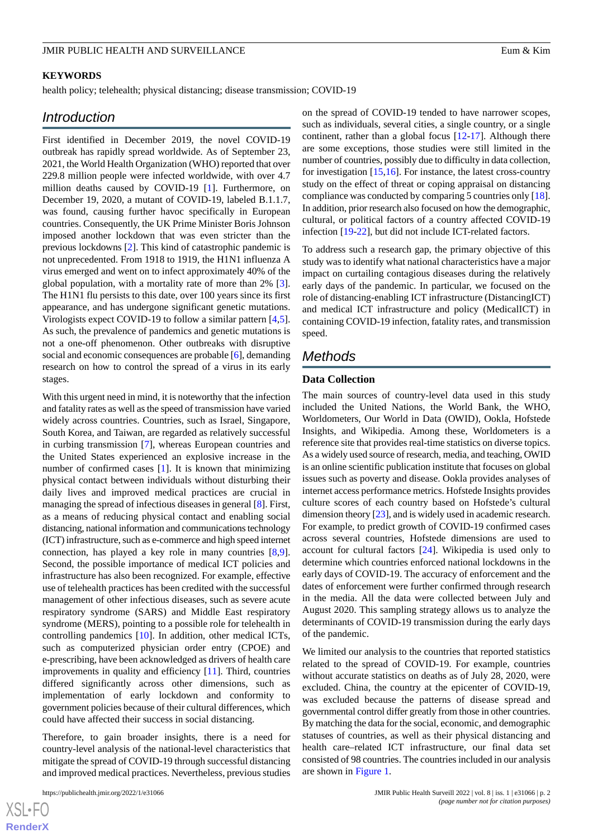### **KEYWORDS**

health policy; telehealth; physical distancing; disease transmission; COVID-19

# *Introduction*

First identified in December 2019, the novel COVID-19 outbreak has rapidly spread worldwide. As of September 23, 2021, the World Health Organization (WHO) reported that over 229.8 million people were infected worldwide, with over 4.7 million deaths caused by COVID-19 [[1\]](#page-12-0). Furthermore, on December 19, 2020, a mutant of COVID-19, labeled B.1.1.7, was found, causing further havoc specifically in European countries. Consequently, the UK Prime Minister Boris Johnson imposed another lockdown that was even stricter than the previous lockdowns [\[2](#page-12-1)]. This kind of catastrophic pandemic is not unprecedented. From 1918 to 1919, the H1N1 influenza A virus emerged and went on to infect approximately 40% of the global population, with a mortality rate of more than 2% [[3\]](#page-13-0). The H1N1 flu persists to this date, over 100 years since its first appearance, and has undergone significant genetic mutations. Virologists expect COVID-19 to follow a similar pattern [\[4](#page-13-1),[5\]](#page-13-2). As such, the prevalence of pandemics and genetic mutations is not a one-off phenomenon. Other outbreaks with disruptive social and economic consequences are probable [[6\]](#page-13-3), demanding research on how to control the spread of a virus in its early stages.

With this urgent need in mind, it is noteworthy that the infection and fatality rates as well as the speed of transmission have varied widely across countries. Countries, such as Israel, Singapore, South Korea, and Taiwan, are regarded as relatively successful in curbing transmission [[7\]](#page-13-4), whereas European countries and the United States experienced an explosive increase in the number of confirmed cases [[1](#page-12-0)]. It is known that minimizing physical contact between individuals without disturbing their daily lives and improved medical practices are crucial in managing the spread of infectious diseases in general [[8\]](#page-13-5). First, as a means of reducing physical contact and enabling social distancing, national information and communications technology (ICT) infrastructure, such as e-commerce and high speed internet connection, has played a key role in many countries [\[8](#page-13-5),[9\]](#page-13-6). Second, the possible importance of medical ICT policies and infrastructure has also been recognized. For example, effective use of telehealth practices has been credited with the successful management of other infectious diseases, such as severe acute respiratory syndrome (SARS) and Middle East respiratory syndrome (MERS), pointing to a possible role for telehealth in controlling pandemics [[10\]](#page-13-7). In addition, other medical ICTs, such as computerized physician order entry (CPOE) and e-prescribing, have been acknowledged as drivers of health care improvements in quality and efficiency [\[11](#page-13-8)]. Third, countries differed significantly across other dimensions, such as implementation of early lockdown and conformity to government policies because of their cultural differences, which could have affected their success in social distancing.

Therefore, to gain broader insights, there is a need for country-level analysis of the national-level characteristics that mitigate the spread of COVID-19 through successful distancing and improved medical practices. Nevertheless, previous studies

 $XS$ -FO **[RenderX](http://www.renderx.com/)** on the spread of COVID-19 tended to have narrower scopes, such as individuals, several cities, a single country, or a single continent, rather than a global focus [[12](#page-13-9)[-17](#page-13-10)]. Although there are some exceptions, those studies were still limited in the number of countries, possibly due to difficulty in data collection, for investigation  $[15,16]$  $[15,16]$  $[15,16]$  $[15,16]$ . For instance, the latest cross-country study on the effect of threat or coping appraisal on distancing compliance was conducted by comparing 5 countries only [[18\]](#page-13-13). In addition, prior research also focused on how the demographic, cultural, or political factors of a country affected COVID-19 infection [\[19](#page-13-14)[-22](#page-13-15)], but did not include ICT-related factors.

To address such a research gap, the primary objective of this study was to identify what national characteristics have a major impact on curtailing contagious diseases during the relatively early days of the pandemic. In particular, we focused on the role of distancing-enabling ICT infrastructure (DistancingICT) and medical ICT infrastructure and policy (MedicalICT) in containing COVID-19 infection, fatality rates, and transmission speed.

# *Methods*

#### **Data Collection**

The main sources of country-level data used in this study included the United Nations, the World Bank, the WHO, Worldometers, Our World in Data (OWID), Ookla, Hofstede Insights, and Wikipedia. Among these, Worldometers is a reference site that provides real-time statistics on diverse topics. As a widely used source of research, media, and teaching, OWID is an online scientific publication institute that focuses on global issues such as poverty and disease. Ookla provides analyses of internet access performance metrics. Hofstede Insights provides culture scores of each country based on Hofstede's cultural dimension theory [\[23](#page-13-16)], and is widely used in academic research. For example, to predict growth of COVID-19 confirmed cases across several countries, Hofstede dimensions are used to account for cultural factors [\[24](#page-13-17)]. Wikipedia is used only to determine which countries enforced national lockdowns in the early days of COVID-19. The accuracy of enforcement and the dates of enforcement were further confirmed through research in the media. All the data were collected between July and August 2020. This sampling strategy allows us to analyze the determinants of COVID-19 transmission during the early days of the pandemic.

We limited our analysis to the countries that reported statistics related to the spread of COVID-19. For example, countries without accurate statistics on deaths as of July 28, 2020, were excluded. China, the country at the epicenter of COVID-19, was excluded because the patterns of disease spread and governmental control differ greatly from those in other countries. By matching the data for the social, economic, and demographic statuses of countries, as well as their physical distancing and health care–related ICT infrastructure, our final data set consisted of 98 countries. The countries included in our analysis are shown in [Figure 1.](#page-2-0)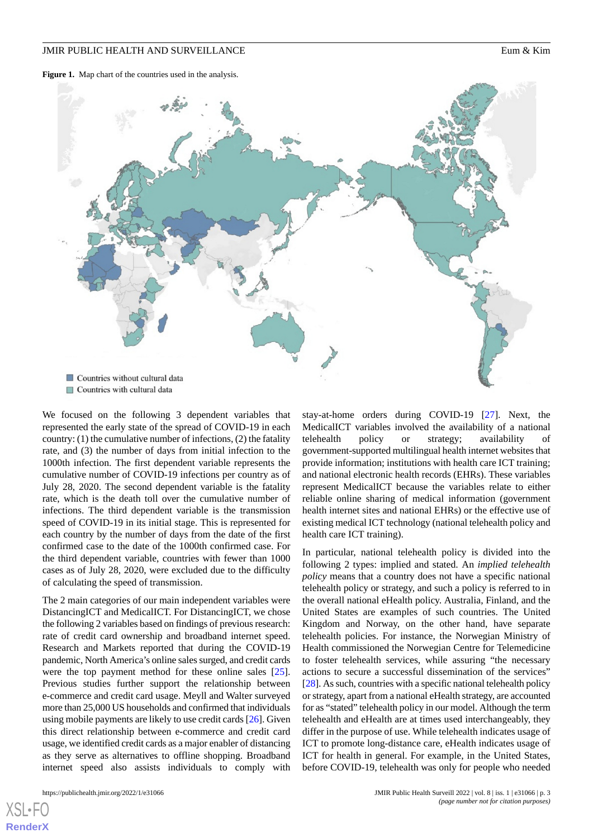<span id="page-2-0"></span>Figure 1. Map chart of the countries used in the analysis.



We focused on the following 3 dependent variables that represented the early state of the spread of COVID-19 in each country: (1) the cumulative number of infections, (2) the fatality rate, and (3) the number of days from initial infection to the 1000th infection. The first dependent variable represents the cumulative number of COVID-19 infections per country as of July 28, 2020. The second dependent variable is the fatality rate, which is the death toll over the cumulative number of infections. The third dependent variable is the transmission speed of COVID-19 in its initial stage. This is represented for each country by the number of days from the date of the first confirmed case to the date of the 1000th confirmed case. For the third dependent variable, countries with fewer than 1000 cases as of July 28, 2020, were excluded due to the difficulty of calculating the speed of transmission.

The 2 main categories of our main independent variables were DistancingICT and MedicalICT. For DistancingICT, we chose the following 2 variables based on findings of previous research: rate of credit card ownership and broadband internet speed. Research and Markets reported that during the COVID-19 pandemic, North America's online sales surged, and credit cards were the top payment method for these online sales [[25\]](#page-14-0). Previous studies further support the relationship between e-commerce and credit card usage. Meyll and Walter surveyed more than 25,000 US households and confirmed that individuals using mobile payments are likely to use credit cards [\[26\]](#page-14-1). Given this direct relationship between e-commerce and credit card usage, we identified credit cards as a major enabler of distancing as they serve as alternatives to offline shopping. Broadband internet speed also assists individuals to comply with

[XSL](http://www.w3.org/Style/XSL)•FO **[RenderX](http://www.renderx.com/)**

stay-at-home orders during COVID-19 [[27\]](#page-14-2). Next, the MedicalICT variables involved the availability of a national telehealth policy or strategy; availability of government-supported multilingual health internet websites that provide information; institutions with health care ICT training; and national electronic health records (EHRs). These variables represent MedicalICT because the variables relate to either reliable online sharing of medical information (government health internet sites and national EHRs) or the effective use of existing medical ICT technology (national telehealth policy and health care ICT training).

In particular, national telehealth policy is divided into the following 2 types: implied and stated. An *implied telehealth policy* means that a country does not have a specific national telehealth policy or strategy, and such a policy is referred to in the overall national eHealth policy. Australia, Finland, and the United States are examples of such countries. The United Kingdom and Norway, on the other hand, have separate telehealth policies. For instance, the Norwegian Ministry of Health commissioned the Norwegian Centre for Telemedicine to foster telehealth services, while assuring "the necessary actions to secure a successful dissemination of the services" [[28\]](#page-14-3). As such, countries with a specific national telehealth policy or strategy, apart from a national eHealth strategy, are accounted for as "stated" telehealth policy in our model. Although the term telehealth and eHealth are at times used interchangeably, they differ in the purpose of use. While telehealth indicates usage of ICT to promote long-distance care, eHealth indicates usage of ICT for health in general. For example, in the United States, before COVID-19, telehealth was only for people who needed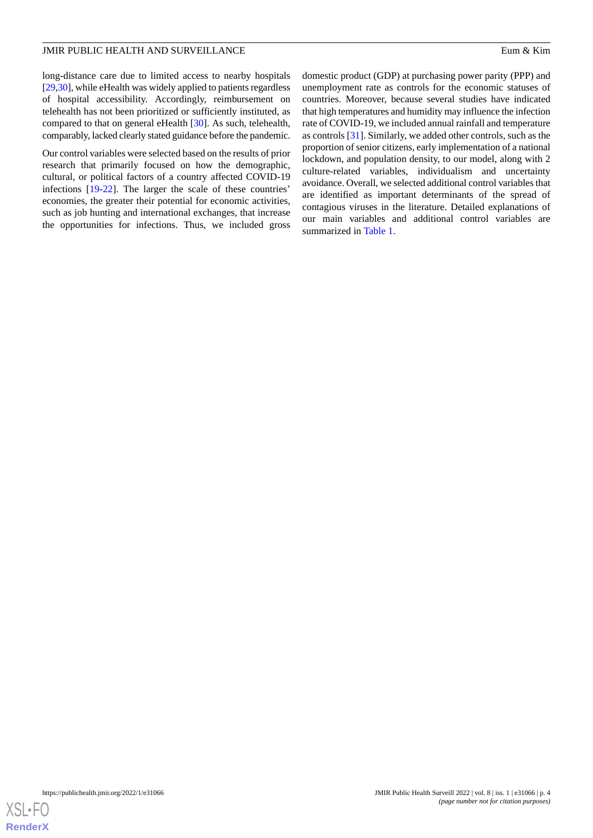long-distance care due to limited access to nearby hospitals [[29,](#page-14-4)[30](#page-14-5)], while eHealth was widely applied to patients regardless of hospital accessibility. Accordingly, reimbursement on telehealth has not been prioritized or sufficiently instituted, as compared to that on general eHealth [\[30](#page-14-5)]. As such, telehealth, comparably, lacked clearly stated guidance before the pandemic.

Our control variables were selected based on the results of prior research that primarily focused on how the demographic, cultural, or political factors of a country affected COVID-19 infections [[19](#page-13-14)[-22](#page-13-15)]. The larger the scale of these countries' economies, the greater their potential for economic activities, such as job hunting and international exchanges, that increase the opportunities for infections. Thus, we included gross

domestic product (GDP) at purchasing power parity (PPP) and unemployment rate as controls for the economic statuses of countries. Moreover, because several studies have indicated that high temperatures and humidity may influence the infection rate of COVID-19, we included annual rainfall and temperature as controls [[31\]](#page-14-6). Similarly, we added other controls, such as the proportion of senior citizens, early implementation of a national lockdown, and population density, to our model, along with 2 culture-related variables, individualism and uncertainty avoidance. Overall, we selected additional control variables that are identified as important determinants of the spread of contagious viruses in the literature. Detailed explanations of our main variables and additional control variables are summarized in [Table 1.](#page-4-0)

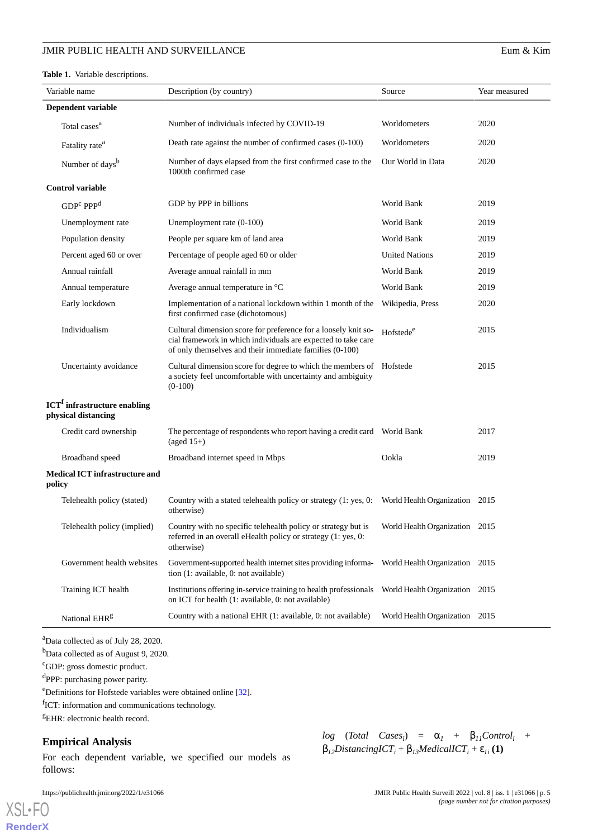#### <span id="page-4-0"></span>**Table 1.** Variable descriptions.

|        | Variable name                                                         | Description (by country)                                                                                                                                                                   | Source                         | Year measured |
|--------|-----------------------------------------------------------------------|--------------------------------------------------------------------------------------------------------------------------------------------------------------------------------------------|--------------------------------|---------------|
|        | Dependent variable                                                    |                                                                                                                                                                                            |                                |               |
|        | Total cases <sup>a</sup>                                              | Number of individuals infected by COVID-19                                                                                                                                                 | Worldometers                   | 2020          |
|        | Fatality rate <sup>a</sup>                                            | Death rate against the number of confirmed cases (0-100)                                                                                                                                   | Worldometers                   | 2020          |
|        | Number of days <sup>b</sup>                                           | Number of days elapsed from the first confirmed case to the<br>1000th confirmed case                                                                                                       | Our World in Data              | 2020          |
|        | <b>Control variable</b>                                               |                                                                                                                                                                                            |                                |               |
|        | GDP <sup>c</sup> PPP <sup>d</sup>                                     | GDP by PPP in billions                                                                                                                                                                     | World Bank                     | 2019          |
|        | Unemployment rate                                                     | Unemployment rate (0-100)                                                                                                                                                                  | World Bank                     | 2019          |
|        | Population density                                                    | People per square km of land area                                                                                                                                                          | World Bank                     | 2019          |
|        | Percent aged 60 or over                                               | Percentage of people aged 60 or older                                                                                                                                                      | <b>United Nations</b>          | 2019          |
|        | Annual rainfall                                                       | Average annual rainfall in mm                                                                                                                                                              | World Bank                     | 2019          |
|        | Annual temperature                                                    | Average annual temperature in °C                                                                                                                                                           | World Bank                     | 2019          |
|        | Early lockdown                                                        | Implementation of a national lockdown within 1 month of the<br>first confirmed case (dichotomous)                                                                                          | Wikipedia, Press               | 2020          |
|        | Individualism                                                         | Cultural dimension score for preference for a loosely knit so-<br>cial framework in which individuals are expected to take care<br>of only themselves and their immediate families (0-100) | Hofstede <sup>e</sup>          | 2015          |
|        | Uncertainty avoidance                                                 | Cultural dimension score for degree to which the members of Hofstede<br>a society feel uncomfortable with uncertainty and ambiguity<br>$(0-100)$                                           |                                | 2015          |
|        | <b>ICT<sup>f</sup></b> infrastructure enabling<br>physical distancing |                                                                                                                                                                                            |                                |               |
|        | Credit card ownership                                                 | $(\text{aged }15+)$                                                                                                                                                                        |                                | 2017          |
|        | Broadband speed                                                       | Broadband internet speed in Mbps                                                                                                                                                           | Ookla                          | 2019          |
| policy | <b>Medical ICT infrastructure and</b>                                 |                                                                                                                                                                                            |                                |               |
|        | Telehealth policy (stated)                                            | Country with a stated telehealth policy or strategy (1: yes, 0: World Health Organization 2015<br>otherwise)                                                                               |                                |               |
|        | Telehealth policy (implied)                                           | Country with no specific telehealth policy or strategy but is World Health Organization 2015<br>referred in an overall eHealth policy or strategy (1: yes, 0:<br>otherwise)                |                                |               |
|        | Government health websites                                            | Government-supported health internet sites providing informa-<br>tion (1: available, 0: not available)                                                                                     | World Health Organization 2015 |               |
|        | Training ICT health                                                   | Institutions offering in-service training to health professionals<br>on ICT for health (1: available, 0: not available)                                                                    | World Health Organization 2015 |               |
|        | National EHR <sup>g</sup>                                             | Country with a national EHR (1: available, 0: not available)                                                                                                                               | World Health Organization 2015 |               |

<sup>a</sup>Data collected as of July 28, 2020.

<sup>b</sup>Data collected as of August 9, 2020.

<sup>c</sup>GDP: gross domestic product.

<sup>d</sup>PPP: purchasing power parity.

<sup>e</sup>Definitions for Hofstede variables were obtained online [[32](#page-14-7)].

<sup>f</sup>ICT: information and communications technology.

<sup>g</sup>EHR: electronic health record.

## **Empirical Analysis**

[XSL](http://www.w3.org/Style/XSL)•FO **[RenderX](http://www.renderx.com/)**

For each dependent variable, we specified our models as follows:

 $log$  (*Total Cases<sub>i</sub>*) =  $\alpha$ <sub>*I*</sub> +  $\beta$ <sub>*I1</sub>Control<sub>i</sub>* +</sub>  $\beta_{12}$ *DistancingICT*<sub>*i*</sub> +  $\beta_{13}$ *MedicalICT*<sub>*i*</sub> +  $\varepsilon_{1i}$  (1)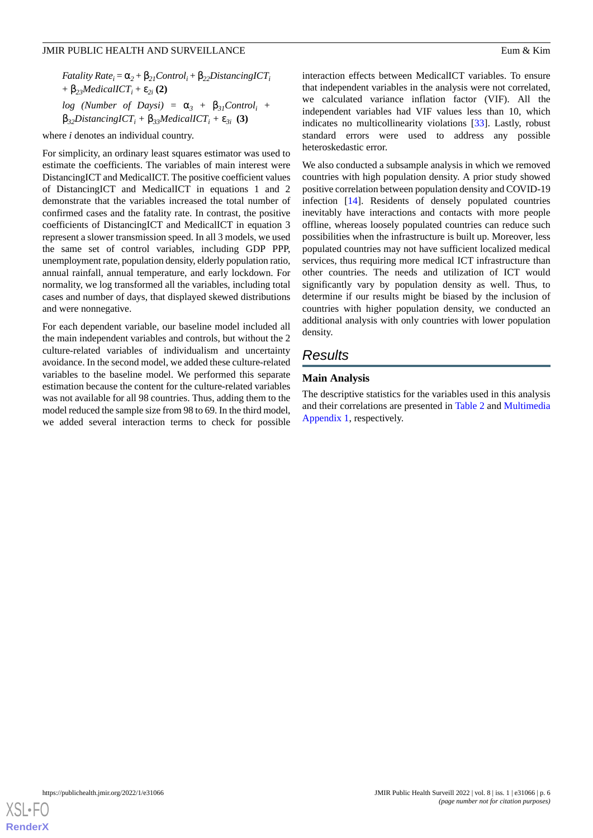*Fatality Rate*<sup>*i*</sup> =  $\alpha_2 + \beta_{21}$ *Control*<sup>*i*</sup> +  $\beta_{22}$ *DistancingICT*<sup>*i*</sup> +  $\beta_{23}$ *MedicalICT*<sub>*i*</sub> +  $\epsilon_{2i}$  (2) *log* (Number of Daysi) =  $\alpha_3$  +  $\beta_{31}$ Control<sub>i</sub> +  $\beta_{32}$ *DistancingICT*<sub>*i*</sub> +  $\beta_{33}$ *MedicalICT*<sub>*i*</sub> +  $\varepsilon_{3i}$  (3)

where *i* denotes an individual country.

For simplicity, an ordinary least squares estimator was used to estimate the coefficients. The variables of main interest were DistancingICT and MedicalICT. The positive coefficient values of DistancingICT and MedicalICT in equations 1 and 2 demonstrate that the variables increased the total number of confirmed cases and the fatality rate. In contrast, the positive coefficients of DistancingICT and MedicalICT in equation 3 represent a slower transmission speed. In all 3 models, we used the same set of control variables, including GDP PPP, unemployment rate, population density, elderly population ratio, annual rainfall, annual temperature, and early lockdown. For normality, we log transformed all the variables, including total cases and number of days, that displayed skewed distributions and were nonnegative.

For each dependent variable, our baseline model included all the main independent variables and controls, but without the 2 culture-related variables of individualism and uncertainty avoidance. In the second model, we added these culture-related variables to the baseline model. We performed this separate estimation because the content for the culture-related variables was not available for all 98 countries. Thus, adding them to the model reduced the sample size from 98 to 69. In the third model, we added several interaction terms to check for possible

interaction effects between MedicalICT variables. To ensure that independent variables in the analysis were not correlated, we calculated variance inflation factor (VIF). All the independent variables had VIF values less than 10, which indicates no multicollinearity violations [\[33](#page-14-8)]. Lastly, robust standard errors were used to address any possible heteroskedastic error.

We also conducted a subsample analysis in which we removed countries with high population density. A prior study showed positive correlation between population density and COVID-19 infection [\[14](#page-13-18)]. Residents of densely populated countries inevitably have interactions and contacts with more people offline, whereas loosely populated countries can reduce such possibilities when the infrastructure is built up. Moreover, less populated countries may not have sufficient localized medical services, thus requiring more medical ICT infrastructure than other countries. The needs and utilization of ICT would significantly vary by population density as well. Thus, to determine if our results might be biased by the inclusion of countries with higher population density, we conducted an additional analysis with only countries with lower population density.

# *Results*

### **Main Analysis**

The descriptive statistics for the variables used in this analysis and their correlations are presented in [Table 2](#page-6-0) and [Multimedia](#page-12-2) [Appendix 1,](#page-12-2) respectively.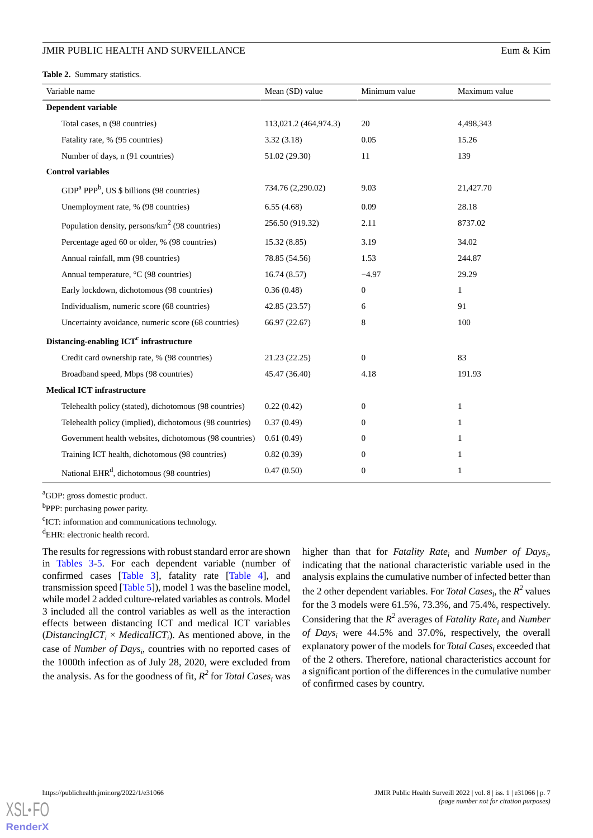<span id="page-6-0"></span>**Table 2.** Summary statistics.

| Eum & Kim |  |
|-----------|--|
|           |  |

| Variable name                                              | Mean (SD) value       | Minimum value    | Maximum value |
|------------------------------------------------------------|-----------------------|------------------|---------------|
| Dependent variable                                         |                       |                  |               |
| Total cases, n (98 countries)                              | 113,021.2 (464,974.3) | 20               | 4,498,343     |
| Fatality rate, % (95 countries)                            | 3.32(3.18)            | 0.05             | 15.26         |
| Number of days, n (91 countries)                           | 51.02 (29.30)         | 11               | 139           |
| <b>Control variables</b>                                   |                       |                  |               |
| $GDPa PPPb$ , US \$ billions (98 countries)                | 734.76 (2,290.02)     | 9.03             | 21,427.70     |
| Unemployment rate, % (98 countries)                        | 6.55(4.68)            | 0.09             | 28.18         |
| Population density, persons/km <sup>2</sup> (98 countries) | 256.50 (919.32)       | 2.11             | 8737.02       |
| Percentage aged 60 or older, % (98 countries)              | 15.32(8.85)           | 3.19             | 34.02         |
| Annual rainfall, mm (98 countries)                         | 78.85 (54.56)         | 1.53             | 244.87        |
| Annual temperature, °C (98 countries)                      | 16.74(8.57)           | $-4.97$          | 29.29         |
| Early lockdown, dichotomous (98 countries)                 | 0.36(0.48)            | $\boldsymbol{0}$ | $\mathbf{1}$  |
| Individualism, numeric score (68 countries)                | 42.85 (23.57)         | 6                | 91            |
| Uncertainty avoidance, numeric score (68 countries)        | 66.97 (22.67)         | 8                | 100           |
| Distancing-enabling ICT <sup>c</sup> infrastructure        |                       |                  |               |
| Credit card ownership rate, % (98 countries)               | 21.23 (22.25)         | $\boldsymbol{0}$ | 83            |
| Broadband speed, Mbps (98 countries)                       | 45.47 (36.40)         | 4.18             | 191.93        |
| <b>Medical ICT infrastructure</b>                          |                       |                  |               |
| Telehealth policy (stated), dichotomous (98 countries)     | 0.22(0.42)            | $\overline{0}$   | $\mathbf{1}$  |
| Telehealth policy (implied), dichotomous (98 countries)    | 0.37(0.49)            | $\theta$         | $\mathbf{1}$  |
| Government health websites, dichotomous (98 countries)     | 0.61(0.49)            | $\theta$         | 1             |
| Training ICT health, dichotomous (98 countries)            | 0.82(0.39)            | $\boldsymbol{0}$ | $\mathbf{1}$  |
| National EHR <sup>d</sup> , dichotomous (98 countries)     | 0.47(0.50)            | $\boldsymbol{0}$ | 1             |

<sup>a</sup>GDP: gross domestic product.

<sup>b</sup>PPP: purchasing power parity.

<sup>c</sup>ICT: information and communications technology.

<sup>d</sup>EHR: electronic health record.

The results for regressions with robust standard error are shown in [Tables 3](#page-7-0)-[5.](#page-9-0) For each dependent variable (number of confirmed cases [\[Table 3](#page-7-0)], fatality rate [\[Table 4](#page-8-0)], and transmission speed [\[Table 5](#page-9-0)]), model 1 was the baseline model, while model 2 added culture-related variables as controls. Model 3 included all the control variables as well as the interaction effects between distancing ICT and medical ICT variables (*DistancingICT*<sub>*i*</sub>  $\times$  *MedicalICT*<sub>*i*</sub>). As mentioned above, in the case of *Number of Days<sup>i</sup>* , countries with no reported cases of the 1000th infection as of July 28, 2020, were excluded from the analysis. As for the goodness of fit,  $R^2$  for *Total Cases<sub>i</sub>* was

higher than that for *Fatality Rate<sup>i</sup>* and *Number of Days<sup>i</sup>* , indicating that the national characteristic variable used in the analysis explains the cumulative number of infected better than the 2 other dependent variables. For *Total Cases<sub>i</sub>*, the  $R^2$  values for the 3 models were 61.5%, 73.3%, and 75.4%, respectively. Considering that the *R 2* averages of *Fatality Rate<sup>i</sup>* and *Number of Days<sup>i</sup>* were 44.5% and 37.0%, respectively, the overall explanatory power of the models for *Total Cases<sup>i</sup>* exceeded that of the 2 others. Therefore, national characteristics account for a significant portion of the differences in the cumulative number of confirmed cases by country.

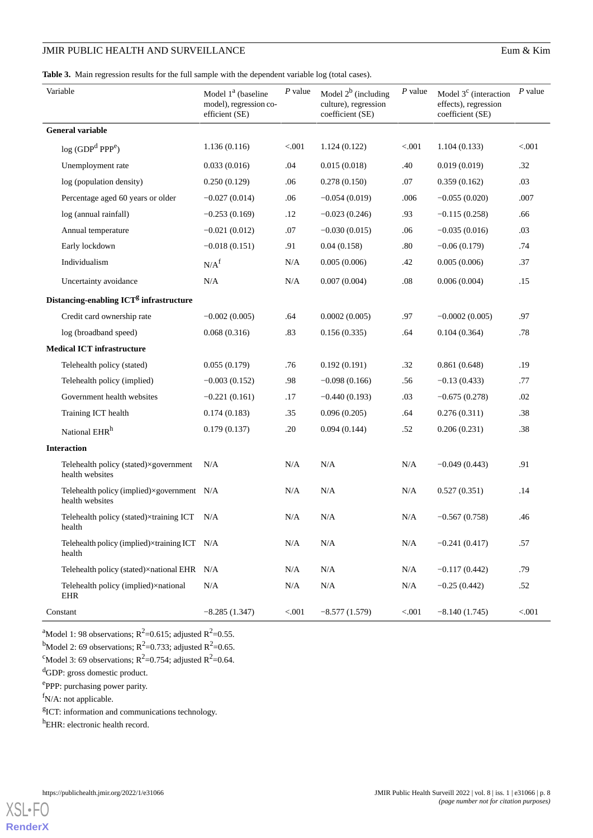| Eum & Kim |  |
|-----------|--|
|           |  |

<span id="page-7-0"></span>**Table 3.** Main regression results for the full sample with the dependent variable log (total cases).

| Variable                                                      | Model 1 <sup>a</sup> (baseline<br>model), regression co-<br>efficient (SE) | $P$ value | Model $2^b$ (including<br>culture), regression<br>coefficient (SE) | P value   | Model $3c$ (interaction<br>effects), regression<br>coefficient (SE) | $P$ value |
|---------------------------------------------------------------|----------------------------------------------------------------------------|-----------|--------------------------------------------------------------------|-----------|---------------------------------------------------------------------|-----------|
| <b>General variable</b>                                       |                                                                            |           |                                                                    |           |                                                                     |           |
| log (GDP <sup>d</sup> PPP <sup>e</sup> )                      | 1.136(0.116)                                                               | < 0.001   | 1.124(0.122)                                                       | < .001    | 1.104(0.133)                                                        | < .001    |
| Unemployment rate                                             | 0.033(0.016)                                                               | .04       | 0.015(0.018)                                                       | .40       | 0.019(0.019)                                                        | .32       |
| log (population density)                                      | 0.250(0.129)                                                               | .06       | 0.278(0.150)                                                       | .07       | 0.359(0.162)                                                        | .03       |
| Percentage aged 60 years or older                             | $-0.027(0.014)$                                                            | .06       | $-0.054(0.019)$                                                    | .006      | $-0.055(0.020)$                                                     | .007      |
| log (annual rainfall)                                         | $-0.253(0.169)$                                                            | .12       | $-0.023(0.246)$                                                    | .93       | $-0.115(0.258)$                                                     | .66       |
| Annual temperature                                            | $-0.021(0.012)$                                                            | .07       | $-0.030(0.015)$                                                    | .06       | $-0.035(0.016)$                                                     | .03       |
| Early lockdown                                                | $-0.018(0.151)$                                                            | .91       | 0.04(0.158)                                                        | .80       | $-0.06(0.179)$                                                      | .74       |
| Individualism                                                 | N/A <sup>f</sup>                                                           | N/A       | 0.005(0.006)                                                       | .42       | 0.005(0.006)                                                        | .37       |
| Uncertainty avoidance                                         | $\rm N/A$                                                                  | N/A       | 0.007(0.004)                                                       | .08       | 0.006(0.004)                                                        | .15       |
| Distancing-enabling ICT <sup>g</sup> infrastructure           |                                                                            |           |                                                                    |           |                                                                     |           |
| Credit card ownership rate                                    | $-0.002(0.005)$                                                            | .64       | 0.0002(0.005)                                                      | .97       | $-0.0002(0.005)$                                                    | .97       |
| log (broadband speed)                                         | 0.068(0.316)                                                               | .83       | 0.156(0.335)                                                       | .64       | 0.104(0.364)                                                        | .78       |
| <b>Medical ICT infrastructure</b>                             |                                                                            |           |                                                                    |           |                                                                     |           |
| Telehealth policy (stated)                                    | 0.055(0.179)                                                               | .76       | 0.192(0.191)                                                       | .32       | 0.861(0.648)                                                        | .19       |
| Telehealth policy (implied)                                   | $-0.003(0.152)$                                                            | .98       | $-0.098(0.166)$                                                    | .56       | $-0.13(0.433)$                                                      | .77       |
| Government health websites                                    | $-0.221(0.161)$                                                            | .17       | $-0.440(0.193)$                                                    | .03       | $-0.675(0.278)$                                                     | .02       |
| Training ICT health                                           | 0.174(0.183)                                                               | .35       | 0.096(0.205)                                                       | .64       | 0.276(0.311)                                                        | .38       |
| National EHR <sup>h</sup>                                     | 0.179(0.137)                                                               | .20       | 0.094(0.144)                                                       | .52       | 0.206(0.231)                                                        | .38       |
| <b>Interaction</b>                                            |                                                                            |           |                                                                    |           |                                                                     |           |
| Telehealth policy (stated)×government<br>health websites      | N/A                                                                        | $\rm N/A$ | N/A                                                                | N/A       | $-0.049(0.443)$                                                     | .91       |
| Telehealth policy (implied)×government N/A<br>health websites |                                                                            | N/A       | N/A                                                                | N/A       | 0.527(0.351)                                                        | .14       |
| Telehealth policy (stated)×training ICT N/A<br>health         |                                                                            | N/A       | N/A                                                                | N/A       | $-0.567(0.758)$                                                     | .46       |
| Telehealth policy (implied)×training ICT N/A<br>health        |                                                                            | N/A       | N/A                                                                | N/A       | $-0.241(0.417)$                                                     | .57       |
| Telehealth policy (stated)×national EHR N/A                   |                                                                            | $\rm N/A$ | N/A                                                                | N/A       | $-0.117(0.442)$                                                     | .79       |
| Telehealth policy (implied)×national<br>EHR                   | N/A                                                                        | N/A       | N/A                                                                | $\rm N/A$ | $-0.25(0.442)$                                                      | .52       |
| Constant                                                      | $-8.285(1.347)$                                                            | < 0.001   | $-8.577(1.579)$                                                    | < 0.001   | $-8.140(1.745)$                                                     | < .001    |

<sup>a</sup>Model 1: 98 observations;  $R^2$ =0.615; adjusted  $R^2$ =0.55.

<sup>b</sup>Model 2: 69 observations;  $R^2$ =0.733; adjusted  $R^2$ =0.65.

<sup>c</sup>Model 3: 69 observations;  $R^2$ =0.754; adjusted  $R^2$ =0.64.

<sup>d</sup>GDP: gross domestic product.

eppP: purchasing power parity.

 $f_{N/A}$ : not applicable.

<sup>g</sup>ICT: information and communications technology.

<sup>h</sup>EHR: electronic health record.

**[RenderX](http://www.renderx.com/)**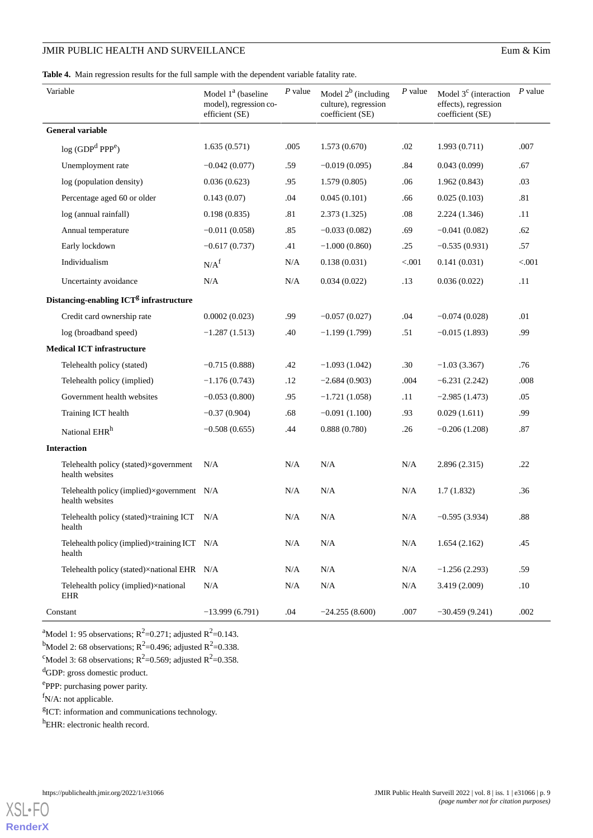| Eum & Kim |  |
|-----------|--|
|           |  |

<span id="page-8-0"></span>**Table 4.** Main regression results for the full sample with the dependent variable fatality rate.

| Variable                                                      | Model 1 <sup>ª</sup> (baseline<br>model), regression co-<br>efficient (SE) | $P$ value | Model $2^b$ (including<br>culture), regression<br>coefficient (SE) | P value | Model $3c$ (interaction<br>effects), regression<br>coefficient (SE) | $P$ value |
|---------------------------------------------------------------|----------------------------------------------------------------------------|-----------|--------------------------------------------------------------------|---------|---------------------------------------------------------------------|-----------|
| <b>General variable</b>                                       |                                                                            |           |                                                                    |         |                                                                     |           |
| log (GDP <sup>d</sup> PPP <sup>e</sup> )                      | 1.635(0.571)                                                               | .005      | 1.573(0.670)                                                       | .02     | 1.993(0.711)                                                        | .007      |
| Unemployment rate                                             | $-0.042(0.077)$                                                            | .59       | $-0.019(0.095)$                                                    | .84     | 0.043(0.099)                                                        | .67       |
| log (population density)                                      | 0.036(0.623)                                                               | .95       | 1.579(0.805)                                                       | .06     | 1.962(0.843)                                                        | .03       |
| Percentage aged 60 or older                                   | 0.143(0.07)                                                                | .04       | 0.045(0.101)                                                       | .66     | 0.025(0.103)                                                        | .81       |
| log (annual rainfall)                                         | 0.198(0.835)                                                               | .81       | 2.373(1.325)                                                       | .08     | 2.224(1.346)                                                        | .11       |
| Annual temperature                                            | $-0.011(0.058)$                                                            | .85       | $-0.033(0.082)$                                                    | .69     | $-0.041(0.082)$                                                     | .62       |
| Early lockdown                                                | $-0.617(0.737)$                                                            | .41       | $-1.000(0.860)$                                                    | .25     | $-0.535(0.931)$                                                     | .57       |
| Individualism                                                 | N/A <sup>f</sup>                                                           | N/A       | 0.138(0.031)                                                       | < .001  | 0.141(0.031)                                                        | < .001    |
| Uncertainty avoidance                                         | N/A                                                                        | N/A       | 0.034(0.022)                                                       | .13     | 0.036(0.022)                                                        | .11       |
| Distancing-enabling ICT <sup>g</sup> infrastructure           |                                                                            |           |                                                                    |         |                                                                     |           |
| Credit card ownership rate                                    | 0.0002(0.023)                                                              | .99       | $-0.057(0.027)$                                                    | .04     | $-0.074(0.028)$                                                     | .01       |
| log (broadband speed)                                         | $-1.287(1.513)$                                                            | .40       | $-1.199(1.799)$                                                    | .51     | $-0.015(1.893)$                                                     | .99       |
| <b>Medical ICT infrastructure</b>                             |                                                                            |           |                                                                    |         |                                                                     |           |
| Telehealth policy (stated)                                    | $-0.715(0.888)$                                                            | .42       | $-1.093(1.042)$                                                    | .30     | $-1.03(3.367)$                                                      | .76       |
| Telehealth policy (implied)                                   | $-1.176(0.743)$                                                            | .12       | $-2.684(0.903)$                                                    | .004    | $-6.231(2.242)$                                                     | .008      |
| Government health websites                                    | $-0.053(0.800)$                                                            | .95       | $-1.721(1.058)$                                                    | .11     | $-2.985(1.473)$                                                     | .05       |
| Training ICT health                                           | $-0.37(0.904)$                                                             | .68       | $-0.091(1.100)$                                                    | .93     | 0.029(1.611)                                                        | .99       |
| National EHR <sup>h</sup>                                     | $-0.508(0.655)$                                                            | .44       | 0.888(0.780)                                                       | .26     | $-0.206(1.208)$                                                     | .87       |
| <b>Interaction</b>                                            |                                                                            |           |                                                                    |         |                                                                     |           |
| Telehealth policy (stated)×government<br>health websites      | N/A                                                                        | $\rm N/A$ | N/A                                                                | N/A     | 2.896(2.315)                                                        | .22       |
| Telehealth policy (implied)×government N/A<br>health websites |                                                                            | N/A       | N/A                                                                | N/A     | 1.7(1.832)                                                          | .36       |
| Telehealth policy (stated)×training ICT<br>health             | N/A                                                                        | N/A       | N/A                                                                | N/A     | $-0.595(3.934)$                                                     | .88       |
| Telehealth policy (implied)×training ICT N/A<br>health        |                                                                            | N/A       | N/A                                                                | N/A     | 1.654(2.162)                                                        | .45       |
| Telehealth policy (stated)×national EHR                       | N/A                                                                        | N/A       | N/A                                                                | N/A     | $-1.256(2.293)$                                                     | .59       |
| Telehealth policy (implied)×national<br>EHR                   | N/A                                                                        | N/A       | $\rm N/A$                                                          | N/A     | 3.419 (2.009)                                                       | .10       |
| Constant                                                      | $-13.999(6.791)$                                                           | .04       | $-24.255(8.600)$                                                   | .007    | $-30.459(9.241)$                                                    | .002      |

<sup>a</sup>Model 1: 95 observations;  $R^2 = 0.271$ ; adjusted  $R^2 = 0.143$ .

<sup>b</sup>Model 2: 68 observations;  $R^2$ =0.496; adjusted  $R^2$ =0.338.

<sup>c</sup>Model 3: 68 observations;  $R^2$ =0.569; adjusted  $R^2$ =0.358.

<sup>d</sup>GDP: gross domestic product.

eppP: purchasing power parity.

 $f_{N/A}$ : not applicable.

<sup>g</sup>ICT: information and communications technology.

<sup>h</sup>EHR: electronic health record.

**[RenderX](http://www.renderx.com/)**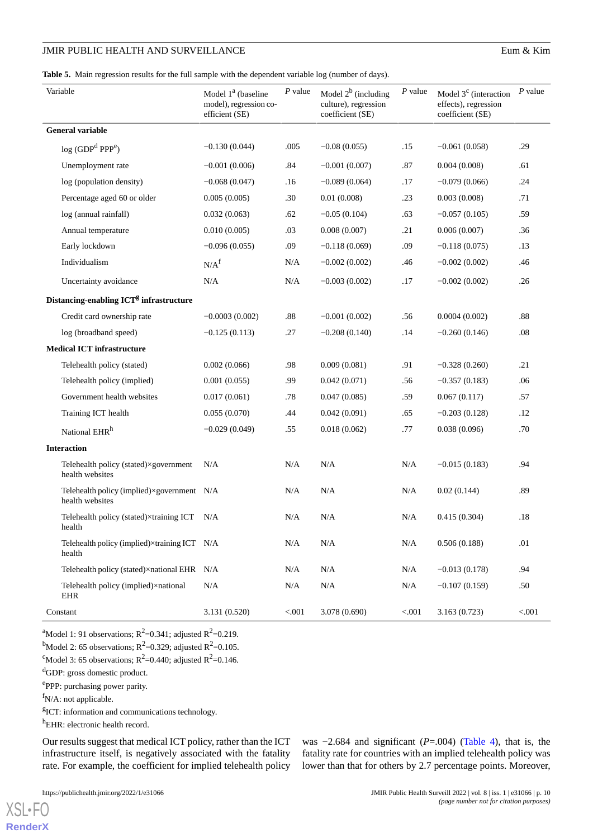| Eum & Kim |  |  |
|-----------|--|--|
|-----------|--|--|

<span id="page-9-0"></span>

|  |  |  |  |  | Table 5. Main regression results for the full sample with the dependent variable log (number of days). |  |
|--|--|--|--|--|--------------------------------------------------------------------------------------------------------|--|
|--|--|--|--|--|--------------------------------------------------------------------------------------------------------|--|

| Variable                                                      | Model 1 <sup>ª</sup> (baseline<br>model), regression co-<br>efficient (SE) | $P$ value | Model $2^b$ (including<br>culture), regression<br>coefficient (SE) | P value | Model $3c$ (interaction<br>effects), regression<br>coefficient (SE) | $P$ value |
|---------------------------------------------------------------|----------------------------------------------------------------------------|-----------|--------------------------------------------------------------------|---------|---------------------------------------------------------------------|-----------|
| <b>General variable</b>                                       |                                                                            |           |                                                                    |         |                                                                     |           |
| log (GDP <sup>d</sup> PPP <sup>e</sup> )                      | $-0.130(0.044)$                                                            | .005      | $-0.08(0.055)$                                                     | .15     | $-0.061(0.058)$                                                     | .29       |
| Unemployment rate                                             | $-0.001(0.006)$                                                            | .84       | $-0.001(0.007)$                                                    | .87     | 0.004(0.008)                                                        | .61       |
| log (population density)                                      | $-0.068(0.047)$                                                            | .16       | $-0.089(0.064)$                                                    | .17     | $-0.079(0.066)$                                                     | .24       |
| Percentage aged 60 or older                                   | 0.005(0.005)                                                               | .30       | 0.01(0.008)                                                        | .23     | 0.003(0.008)                                                        | .71       |
| log (annual rainfall)                                         | 0.032(0.063)                                                               | .62       | $-0.05(0.104)$                                                     | .63     | $-0.057(0.105)$                                                     | .59       |
| Annual temperature                                            | 0.010(0.005)                                                               | .03       | 0.008(0.007)                                                       | .21     | 0.006(0.007)                                                        | .36       |
| Early lockdown                                                | $-0.096(0.055)$                                                            | .09       | $-0.118(0.069)$                                                    | .09     | $-0.118(0.075)$                                                     | .13       |
| Individualism                                                 | N/A <sup>f</sup>                                                           | N/A       | $-0.002(0.002)$                                                    | .46     | $-0.002(0.002)$                                                     | .46       |
| Uncertainty avoidance                                         | N/A                                                                        | N/A       | $-0.003(0.002)$                                                    | .17     | $-0.002(0.002)$                                                     | .26       |
| Distancing-enabling ICT <sup>g</sup> infrastructure           |                                                                            |           |                                                                    |         |                                                                     |           |
| Credit card ownership rate                                    | $-0.0003(0.002)$                                                           | .88       | $-0.001(0.002)$                                                    | .56     | 0.0004(0.002)                                                       | .88       |
| log (broadband speed)                                         | $-0.125(0.113)$                                                            | .27       | $-0.208(0.140)$                                                    | .14     | $-0.260(0.146)$                                                     | .08       |
| <b>Medical ICT infrastructure</b>                             |                                                                            |           |                                                                    |         |                                                                     |           |
| Telehealth policy (stated)                                    | 0.002(0.066)                                                               | .98       | 0.009(0.081)                                                       | .91     | $-0.328(0.260)$                                                     | .21       |
| Telehealth policy (implied)                                   | 0.001(0.055)                                                               | .99       | 0.042(0.071)                                                       | .56     | $-0.357(0.183)$                                                     | .06       |
| Government health websites                                    | 0.017(0.061)                                                               | .78       | 0.047(0.085)                                                       | .59     | 0.067(0.117)                                                        | .57       |
| Training ICT health                                           | 0.055(0.070)                                                               | .44       | 0.042(0.091)                                                       | .65     | $-0.203(0.128)$                                                     | .12       |
| National EHR <sup>h</sup>                                     | $-0.029(0.049)$                                                            | .55       | 0.018(0.062)                                                       | .77     | 0.038(0.096)                                                        | .70       |
| <b>Interaction</b>                                            |                                                                            |           |                                                                    |         |                                                                     |           |
| Telehealth policy (stated)×government<br>health websites      | N/A                                                                        | N/A       | N/A                                                                | N/A     | $-0.015(0.183)$                                                     | .94       |
| Telehealth policy (implied)×government N/A<br>health websites |                                                                            | N/A       | N/A                                                                | N/A     | 0.02(0.144)                                                         | .89       |
| Telehealth policy (stated)×training ICT N/A<br>health         |                                                                            | N/A       | N/A                                                                | N/A     | 0.415(0.304)                                                        | .18       |
| Telehealth policy (implied)×training ICT N/A<br>health        |                                                                            | N/A       | N/A                                                                | N/A     | 0.506(0.188)                                                        | .01       |
| Telehealth policy (stated)×national EHR N/A                   |                                                                            | N/A       | N/A                                                                | N/A     | $-0.013(0.178)$                                                     | .94       |
| Telehealth policy (implied)×national<br><b>EHR</b>            | N/A                                                                        | N/A       | N/A                                                                | N/A     | $-0.107(0.159)$                                                     | .50       |
| Constant                                                      | 3.131 (0.520)                                                              | < 0.001   | 3.078 (0.690)                                                      | $< 001$ | 3.163(0.723)                                                        | $< 001$   |

<sup>a</sup>Model 1: 91 observations;  $R^2 = 0.341$ ; adjusted  $R^2 = 0.219$ .

<sup>b</sup>Model 2: 65 observations;  $R^2$ =0.329; adjusted  $R^2$ =0.105.

<sup>c</sup>Model 3: 65 observations;  $R^2$ =0.440; adjusted  $R^2$ =0.146.

<sup>d</sup>GDP: gross domestic product.

eppP: purchasing power parity.

 $f_{N/A}$ : not applicable.

<sup>g</sup>ICT: information and communications technology.

<sup>h</sup>EHR: electronic health record.

Our results suggest that medical ICT policy, rather than the ICT infrastructure itself, is negatively associated with the fatality rate. For example, the coefficient for implied telehealth policy

was −2.684 and significant (*P*=.004) ([Table 4\)](#page-8-0), that is, the fatality rate for countries with an implied telehealth policy was lower than that for others by 2.7 percentage points. Moreover,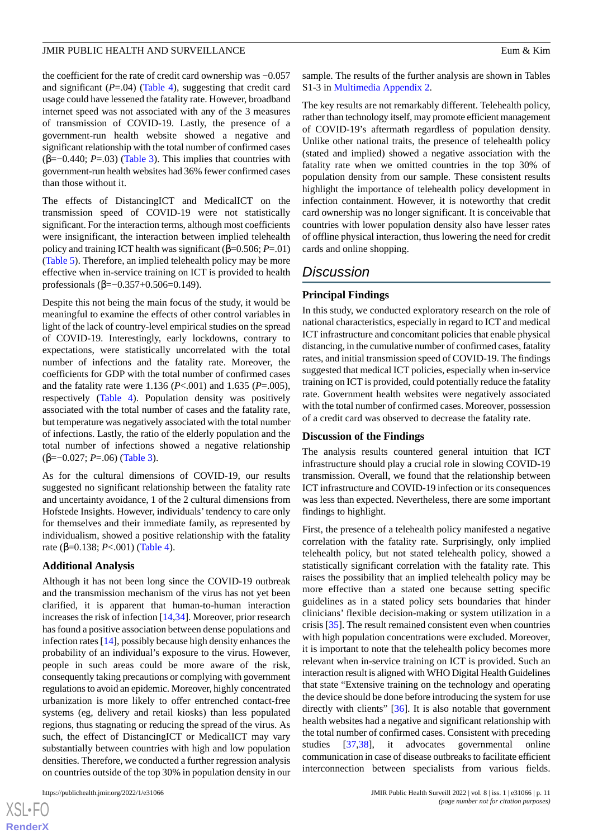the coefficient for the rate of credit card ownership was −0.057 and significant  $(P=0.04)$  ([Table 4](#page-8-0)), suggesting that credit card usage could have lessened the fatality rate. However, broadband internet speed was not associated with any of the 3 measures of transmission of COVID-19. Lastly, the presence of a government-run health website showed a negative and significant relationship with the total number of confirmed cases (β=−0.440; *P*=.03) ([Table 3](#page-7-0)). This implies that countries with government-run health websites had 36% fewer confirmed cases than those without it.

The effects of DistancingICT and MedicalICT on the transmission speed of COVID-19 were not statistically significant. For the interaction terms, although most coefficients were insignificant, the interaction between implied telehealth policy and training ICT health was significant (β=0.506; *P*=.01) ([Table 5](#page-9-0)). Therefore, an implied telehealth policy may be more effective when in-service training on ICT is provided to health professionals (β=−0.357+0.506=0.149).

Despite this not being the main focus of the study, it would be meaningful to examine the effects of other control variables in light of the lack of country-level empirical studies on the spread of COVID-19. Interestingly, early lockdowns, contrary to expectations, were statistically uncorrelated with the total number of infections and the fatality rate. Moreover, the coefficients for GDP with the total number of confirmed cases and the fatality rate were 1.136 (*P*<.001) and 1.635 (*P*=.005), respectively [\(Table 4\)](#page-8-0). Population density was positively associated with the total number of cases and the fatality rate, but temperature was negatively associated with the total number of infections. Lastly, the ratio of the elderly population and the total number of infections showed a negative relationship (β=−0.027; *P*=.06) ([Table 3](#page-7-0)).

As for the cultural dimensions of COVID-19, our results suggested no significant relationship between the fatality rate and uncertainty avoidance, 1 of the 2 cultural dimensions from Hofstede Insights. However, individuals'tendency to care only for themselves and their immediate family, as represented by individualism, showed a positive relationship with the fatality rate (β=0.138; *P*<.001) ([Table 4](#page-8-0)).

### **Additional Analysis**

Although it has not been long since the COVID-19 outbreak and the transmission mechanism of the virus has not yet been clarified, it is apparent that human-to-human interaction increases the risk of infection [\[14](#page-13-18),[34\]](#page-14-9). Moreover, prior research has found a positive association between dense populations and infection rates [\[14](#page-13-18)], possibly because high density enhances the probability of an individual's exposure to the virus. However, people in such areas could be more aware of the risk, consequently taking precautions or complying with government regulations to avoid an epidemic. Moreover, highly concentrated urbanization is more likely to offer entrenched contact-free systems (eg, delivery and retail kiosks) than less populated regions, thus stagnating or reducing the spread of the virus. As such, the effect of DistancingICT or MedicalICT may vary substantially between countries with high and low population densities. Therefore, we conducted a further regression analysis on countries outside of the top 30% in population density in our

sample. The results of the further analysis are shown in Tables S1-3 in [Multimedia Appendix 2](#page-12-3).

The key results are not remarkably different. Telehealth policy, rather than technology itself, may promote efficient management of COVID-19's aftermath regardless of population density. Unlike other national traits, the presence of telehealth policy (stated and implied) showed a negative association with the fatality rate when we omitted countries in the top 30% of population density from our sample. These consistent results highlight the importance of telehealth policy development in infection containment. However, it is noteworthy that credit card ownership was no longer significant. It is conceivable that countries with lower population density also have lesser rates of offline physical interaction, thus lowering the need for credit cards and online shopping.

# *Discussion*

### **Principal Findings**

In this study, we conducted exploratory research on the role of national characteristics, especially in regard to ICT and medical ICT infrastructure and concomitant policies that enable physical distancing, in the cumulative number of confirmed cases, fatality rates, and initial transmission speed of COVID-19. The findings suggested that medical ICT policies, especially when in-service training on ICT is provided, could potentially reduce the fatality rate. Government health websites were negatively associated with the total number of confirmed cases. Moreover, possession of a credit card was observed to decrease the fatality rate.

### **Discussion of the Findings**

The analysis results countered general intuition that ICT infrastructure should play a crucial role in slowing COVID-19 transmission. Overall, we found that the relationship between ICT infrastructure and COVID-19 infection or its consequences was less than expected. Nevertheless, there are some important findings to highlight.

First, the presence of a telehealth policy manifested a negative correlation with the fatality rate. Surprisingly, only implied telehealth policy, but not stated telehealth policy, showed a statistically significant correlation with the fatality rate. This raises the possibility that an implied telehealth policy may be more effective than a stated one because setting specific guidelines as in a stated policy sets boundaries that hinder clinicians' flexible decision-making or system utilization in a crisis [\[35](#page-14-10)]. The result remained consistent even when countries with high population concentrations were excluded. Moreover, it is important to note that the telehealth policy becomes more relevant when in-service training on ICT is provided. Such an interaction result is aligned with WHO Digital Health Guidelines that state "Extensive training on the technology and operating the device should be done before introducing the system for use directly with clients" [[36\]](#page-14-11). It is also notable that government health websites had a negative and significant relationship with the total number of confirmed cases. Consistent with preceding studies [[37](#page-14-12)[,38](#page-14-13)], it advocates governmental online communication in case of disease outbreaks to facilitate efficient interconnection between specialists from various fields.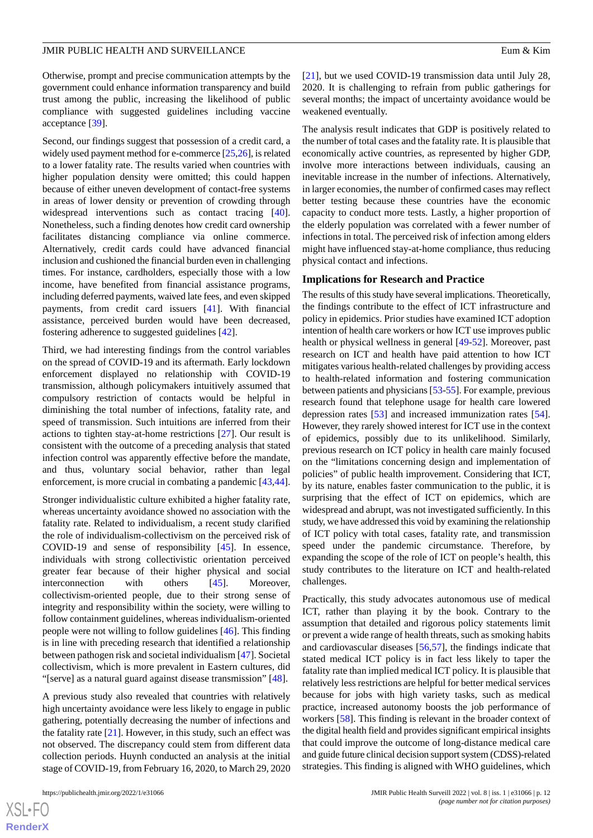Otherwise, prompt and precise communication attempts by the government could enhance information transparency and build trust among the public, increasing the likelihood of public compliance with suggested guidelines including vaccine acceptance [\[39](#page-14-14)].

Second, our findings suggest that possession of a credit card, a widely used payment method for e-commerce [\[25](#page-14-0),[26\]](#page-14-1), is related to a lower fatality rate. The results varied when countries with higher population density were omitted; this could happen because of either uneven development of contact-free systems in areas of lower density or prevention of crowding through widespread interventions such as contact tracing [[40\]](#page-14-15). Nonetheless, such a finding denotes how credit card ownership facilitates distancing compliance via online commerce. Alternatively, credit cards could have advanced financial inclusion and cushioned the financial burden even in challenging times. For instance, cardholders, especially those with a low income, have benefited from financial assistance programs, including deferred payments, waived late fees, and even skipped payments, from credit card issuers [[41\]](#page-14-16). With financial assistance, perceived burden would have been decreased, fostering adherence to suggested guidelines [[42\]](#page-14-17).

Third, we had interesting findings from the control variables on the spread of COVID-19 and its aftermath. Early lockdown enforcement displayed no relationship with COVID-19 transmission, although policymakers intuitively assumed that compulsory restriction of contacts would be helpful in diminishing the total number of infections, fatality rate, and speed of transmission. Such intuitions are inferred from their actions to tighten stay-at-home restrictions [\[27](#page-14-2)]. Our result is consistent with the outcome of a preceding analysis that stated infection control was apparently effective before the mandate, and thus, voluntary social behavior, rather than legal enforcement, is more crucial in combating a pandemic [\[43](#page-14-18),[44\]](#page-14-19).

Stronger individualistic culture exhibited a higher fatality rate, whereas uncertainty avoidance showed no association with the fatality rate. Related to individualism, a recent study clarified the role of individualism-collectivism on the perceived risk of COVID-19 and sense of responsibility [[45\]](#page-14-20). In essence, individuals with strong collectivistic orientation perceived greater fear because of their higher physical and social interconnection with others [[45\]](#page-14-20). Moreover, collectivism-oriented people, due to their strong sense of integrity and responsibility within the society, were willing to follow containment guidelines, whereas individualism-oriented people were not willing to follow guidelines [[46\]](#page-14-21). This finding is in line with preceding research that identified a relationship between pathogen risk and societal individualism [[47\]](#page-14-22). Societal collectivism, which is more prevalent in Eastern cultures, did "[serve] as a natural guard against disease transmission" [\[48](#page-15-0)].

A previous study also revealed that countries with relatively high uncertainty avoidance were less likely to engage in public gathering, potentially decreasing the number of infections and the fatality rate [\[21](#page-13-19)]. However, in this study, such an effect was not observed. The discrepancy could stem from different data collection periods. Huynh conducted an analysis at the initial stage of COVID-19, from February 16, 2020, to March 29, 2020

 $XS$ -FO **[RenderX](http://www.renderx.com/)** [[21\]](#page-13-19), but we used COVID-19 transmission data until July 28, 2020. It is challenging to refrain from public gatherings for several months; the impact of uncertainty avoidance would be weakened eventually.

The analysis result indicates that GDP is positively related to the number of total cases and the fatality rate. It is plausible that economically active countries, as represented by higher GDP, involve more interactions between individuals, causing an inevitable increase in the number of infections. Alternatively, in larger economies, the number of confirmed cases may reflect better testing because these countries have the economic capacity to conduct more tests. Lastly, a higher proportion of the elderly population was correlated with a fewer number of infections in total. The perceived risk of infection among elders might have influenced stay-at-home compliance, thus reducing physical contact and infections.

### **Implications for Research and Practice**

The results of this study have several implications. Theoretically, the findings contribute to the effect of ICT infrastructure and policy in epidemics. Prior studies have examined ICT adoption intention of health care workers or how ICT use improves public health or physical wellness in general [[49](#page-15-1)[-52](#page-15-2)]. Moreover, past research on ICT and health have paid attention to how ICT mitigates various health-related challenges by providing access to health-related information and fostering communication between patients and physicians [[53](#page-15-3)-[55\]](#page-15-4). For example, previous research found that telephone usage for health care lowered depression rates [[53\]](#page-15-3) and increased immunization rates [[54\]](#page-15-5). However, they rarely showed interest for ICT use in the context of epidemics, possibly due to its unlikelihood. Similarly, previous research on ICT policy in health care mainly focused on the "limitations concerning design and implementation of policies" of public health improvement. Considering that ICT, by its nature, enables faster communication to the public, it is surprising that the effect of ICT on epidemics, which are widespread and abrupt, was not investigated sufficiently. In this study, we have addressed this void by examining the relationship of ICT policy with total cases, fatality rate, and transmission speed under the pandemic circumstance. Therefore, by expanding the scope of the role of ICT on people's health, this study contributes to the literature on ICT and health-related challenges.

Practically, this study advocates autonomous use of medical ICT, rather than playing it by the book. Contrary to the assumption that detailed and rigorous policy statements limit or prevent a wide range of health threats, such as smoking habits and cardiovascular diseases [\[56](#page-15-6),[57\]](#page-15-7), the findings indicate that stated medical ICT policy is in fact less likely to taper the fatality rate than implied medical ICT policy. It is plausible that relatively less restrictions are helpful for better medical services because for jobs with high variety tasks, such as medical practice, increased autonomy boosts the job performance of workers [[58\]](#page-15-8). This finding is relevant in the broader context of the digital health field and provides significant empirical insights that could improve the outcome of long-distance medical care and guide future clinical decision support system (CDSS)-related strategies. This finding is aligned with WHO guidelines, which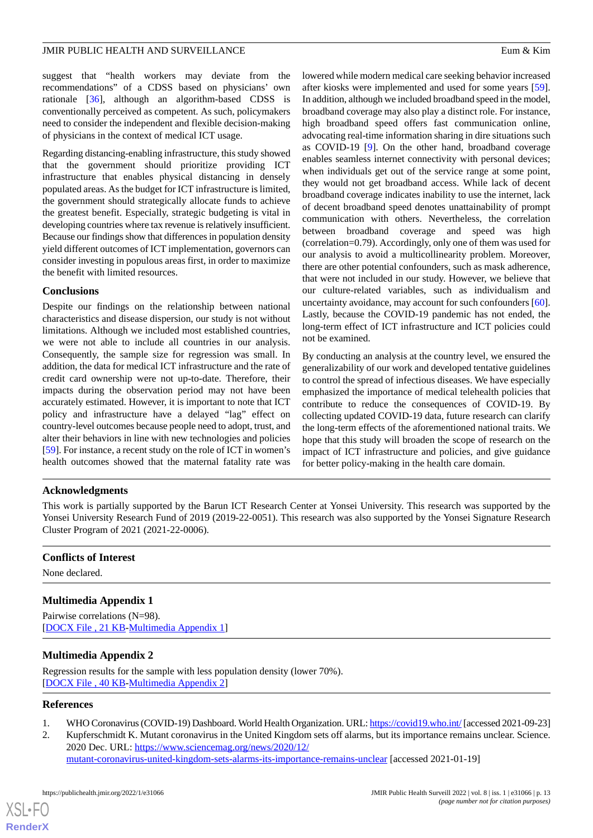suggest that "health workers may deviate from the recommendations" of a CDSS based on physicians' own rationale [[36\]](#page-14-11), although an algorithm-based CDSS is conventionally perceived as competent. As such, policymakers need to consider the independent and flexible decision-making of physicians in the context of medical ICT usage.

Regarding distancing-enabling infrastructure, this study showed that the government should prioritize providing ICT infrastructure that enables physical distancing in densely populated areas. As the budget for ICT infrastructure is limited, the government should strategically allocate funds to achieve the greatest benefit. Especially, strategic budgeting is vital in developing countries where tax revenue is relatively insufficient. Because our findings show that differences in population density yield different outcomes of ICT implementation, governors can consider investing in populous areas first, in order to maximize the benefit with limited resources.

### **Conclusions**

Despite our findings on the relationship between national characteristics and disease dispersion, our study is not without limitations. Although we included most established countries, we were not able to include all countries in our analysis. Consequently, the sample size for regression was small. In addition, the data for medical ICT infrastructure and the rate of credit card ownership were not up-to-date. Therefore, their impacts during the observation period may not have been accurately estimated. However, it is important to note that ICT policy and infrastructure have a delayed "lag" effect on country-level outcomes because people need to adopt, trust, and alter their behaviors in line with new technologies and policies [[59\]](#page-15-9). For instance, a recent study on the role of ICT in women's health outcomes showed that the maternal fatality rate was lowered while modern medical care seeking behavior increased after kiosks were implemented and used for some years [[59\]](#page-15-9). In addition, although we included broadband speed in the model, broadband coverage may also play a distinct role. For instance, high broadband speed offers fast communication online, advocating real-time information sharing in dire situations such as COVID-19 [\[9](#page-13-6)]. On the other hand, broadband coverage enables seamless internet connectivity with personal devices; when individuals get out of the service range at some point, they would not get broadband access. While lack of decent broadband coverage indicates inability to use the internet, lack of decent broadband speed denotes unattainability of prompt communication with others. Nevertheless, the correlation between broadband coverage and speed was high (correlation=0.79). Accordingly, only one of them was used for our analysis to avoid a multicollinearity problem. Moreover, there are other potential confounders, such as mask adherence, that were not included in our study. However, we believe that our culture-related variables, such as individualism and uncertainty avoidance, may account for such confounders [[60\]](#page-15-10). Lastly, because the COVID-19 pandemic has not ended, the long-term effect of ICT infrastructure and ICT policies could not be examined.

By conducting an analysis at the country level, we ensured the generalizability of our work and developed tentative guidelines to control the spread of infectious diseases. We have especially emphasized the importance of medical telehealth policies that contribute to reduce the consequences of COVID-19. By collecting updated COVID-19 data, future research can clarify the long-term effects of the aforementioned national traits. We hope that this study will broaden the scope of research on the impact of ICT infrastructure and policies, and give guidance for better policy-making in the health care domain.

### **Acknowledgments**

This work is partially supported by the Barun ICT Research Center at Yonsei University. This research was supported by the Yonsei University Research Fund of 2019 (2019-22-0051). This research was also supported by the Yonsei Signature Research Cluster Program of 2021 (2021-22-0006).

### <span id="page-12-2"></span>**Conflicts of Interest**

None declared.

# <span id="page-12-3"></span>**Multimedia Appendix 1**

Pairwise correlations (N=98). [[DOCX File , 21 KB](https://jmir.org/api/download?alt_name=publichealth_v8i1e31066_app1.docx&filename=27d6c0e33255616fbeaa963e76b3094f.docx)-[Multimedia Appendix 1\]](https://jmir.org/api/download?alt_name=publichealth_v8i1e31066_app1.docx&filename=27d6c0e33255616fbeaa963e76b3094f.docx)

### <span id="page-12-1"></span><span id="page-12-0"></span>**Multimedia Appendix 2**

Regression results for the sample with less population density (lower 70%). [[DOCX File , 40 KB](https://jmir.org/api/download?alt_name=publichealth_v8i1e31066_app2.docx&filename=8b98f0d5ba8a97c35a6d2f50c93be036.docx)-[Multimedia Appendix 2\]](https://jmir.org/api/download?alt_name=publichealth_v8i1e31066_app2.docx&filename=8b98f0d5ba8a97c35a6d2f50c93be036.docx)

### **References**

- 1. WHO Coronavirus (COVID-19) Dashboard. World Health Organization. URL:<https://covid19.who.int/> [accessed 2021-09-23]
- 2. Kupferschmidt K. Mutant coronavirus in the United Kingdom sets off alarms, but its importance remains unclear. Science. 2020 Dec. URL: [https://www.sciencemag.org/news/2020/12/](https://www.sciencemag.org/news/2020/12/mutant-coronavirus-united-kingdom-sets-alarms-its-importance-remains-unclear) [mutant-coronavirus-united-kingdom-sets-alarms-its-importance-remains-unclear](https://www.sciencemag.org/news/2020/12/mutant-coronavirus-united-kingdom-sets-alarms-its-importance-remains-unclear) [accessed 2021-01-19]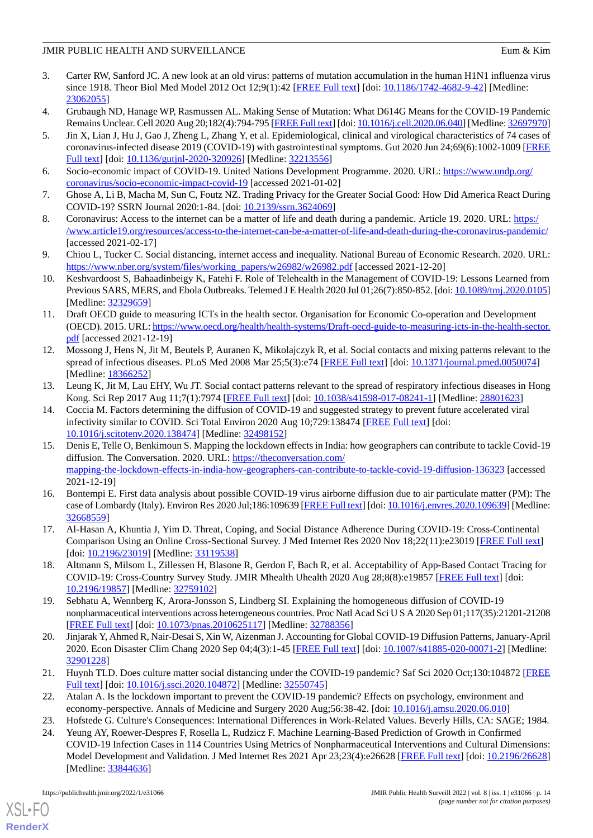- <span id="page-13-0"></span>3. Carter RW, Sanford JC. A new look at an old virus: patterns of mutation accumulation in the human H1N1 influenza virus since 1918. Theor Biol Med Model 2012 Oct 12;9(1):42 [[FREE Full text](https://tbiomed.biomedcentral.com/articles/10.1186/1742-4682-9-42)] [doi: [10.1186/1742-4682-9-42\]](http://dx.doi.org/10.1186/1742-4682-9-42) [Medline: [23062055](http://www.ncbi.nlm.nih.gov/entrez/query.fcgi?cmd=Retrieve&db=PubMed&list_uids=23062055&dopt=Abstract)]
- <span id="page-13-2"></span><span id="page-13-1"></span>4. Grubaugh ND, Hanage WP, Rasmussen AL. Making Sense of Mutation: What D614G Means for the COVID-19 Pandemic Remains Unclear. Cell 2020 Aug 20;182(4):794-795 [[FREE Full text\]](https://linkinghub.elsevier.com/retrieve/pii/S0092-8674(20)30817-5) [doi: [10.1016/j.cell.2020.06.040](http://dx.doi.org/10.1016/j.cell.2020.06.040)] [Medline: [32697970\]](http://www.ncbi.nlm.nih.gov/entrez/query.fcgi?cmd=Retrieve&db=PubMed&list_uids=32697970&dopt=Abstract)
- 5. Jin X, Lian J, Hu J, Gao J, Zheng L, Zhang Y, et al. Epidemiological, clinical and virological characteristics of 74 cases of coronavirus-infected disease 2019 (COVID-19) with gastrointestinal symptoms. Gut 2020 Jun 24;69(6):1002-1009 [\[FREE](http://gut.bmj.com/lookup/pmidlookup?view=long&pmid=32213556) [Full text\]](http://gut.bmj.com/lookup/pmidlookup?view=long&pmid=32213556) [doi: [10.1136/gutjnl-2020-320926](http://dx.doi.org/10.1136/gutjnl-2020-320926)] [Medline: [32213556](http://www.ncbi.nlm.nih.gov/entrez/query.fcgi?cmd=Retrieve&db=PubMed&list_uids=32213556&dopt=Abstract)]
- <span id="page-13-4"></span><span id="page-13-3"></span>6. Socio-economic impact of COVID-19. United Nations Development Programme. 2020. URL: [https://www.undp.org/](https://www.undp.org/coronavirus/socio-economic-impact-covid-19) [coronavirus/socio-economic-impact-covid-19](https://www.undp.org/coronavirus/socio-economic-impact-covid-19) [accessed 2021-01-02]
- <span id="page-13-5"></span>7. Ghose A, Li B, Macha M, Sun C, Foutz NZ. Trading Privacy for the Greater Social Good: How Did America React During COVID-19? SSRN Journal 2020:1-84. [doi: [10.2139/ssrn.3624069\]](http://dx.doi.org/10.2139/ssrn.3624069)
- <span id="page-13-6"></span>8. Coronavirus: Access to the internet can be a matter of life and death during a pandemic. Article 19. 2020. URL: [https:/](https://www.article19.org/resources/access-to-the-internet-can-be-a-matter-of-life-and-death-during-the-coronavirus-pandemic/) [/www.article19.org/resources/access-to-the-internet-can-be-a-matter-of-life-and-death-during-the-coronavirus-pandemic/](https://www.article19.org/resources/access-to-the-internet-can-be-a-matter-of-life-and-death-during-the-coronavirus-pandemic/) [accessed 2021-02-17]
- <span id="page-13-7"></span>9. Chiou L, Tucker C. Social distancing, internet access and inequality. National Bureau of Economic Research. 2020. URL: [https://www.nber.org/system/files/working\\_papers/w26982/w26982.pdf](https://www.nber.org/system/files/working_papers/w26982/w26982.pdf) [accessed 2021-12-20]
- <span id="page-13-8"></span>10. Keshvardoost S, Bahaadinbeigy K, Fatehi F. Role of Telehealth in the Management of COVID-19: Lessons Learned from Previous SARS, MERS, and Ebola Outbreaks. Telemed J E Health 2020 Jul 01;26(7):850-852. [doi: [10.1089/tmj.2020.0105\]](http://dx.doi.org/10.1089/tmj.2020.0105) [Medline: [32329659](http://www.ncbi.nlm.nih.gov/entrez/query.fcgi?cmd=Retrieve&db=PubMed&list_uids=32329659&dopt=Abstract)]
- <span id="page-13-9"></span>11. Draft OECD guide to measuring ICTs in the health sector. Organisation for Economic Co-operation and Development (OECD). 2015. URL: [https://www.oecd.org/health/health-systems/Draft-oecd-guide-to-measuring-icts-in-the-health-sector.](https://www.oecd.org/health/health-systems/Draft-oecd-guide-to-measuring-icts-in-the-health-sector.pdf) [pdf](https://www.oecd.org/health/health-systems/Draft-oecd-guide-to-measuring-icts-in-the-health-sector.pdf) [accessed 2021-12-19]
- 12. Mossong J, Hens N, Jit M, Beutels P, Auranen K, Mikolajczyk R, et al. Social contacts and mixing patterns relevant to the spread of infectious diseases. PLoS Med 2008 Mar 25;5(3):e74 [\[FREE Full text\]](https://dx.plos.org/10.1371/journal.pmed.0050074) [doi: [10.1371/journal.pmed.0050074\]](http://dx.doi.org/10.1371/journal.pmed.0050074) [Medline: [18366252](http://www.ncbi.nlm.nih.gov/entrez/query.fcgi?cmd=Retrieve&db=PubMed&list_uids=18366252&dopt=Abstract)]
- <span id="page-13-18"></span>13. Leung K, Jit M, Lau EHY, Wu JT. Social contact patterns relevant to the spread of respiratory infectious diseases in Hong Kong. Sci Rep 2017 Aug 11;7(1):7974 [[FREE Full text\]](https://doi.org/10.1038/s41598-017-08241-1) [doi: [10.1038/s41598-017-08241-1](http://dx.doi.org/10.1038/s41598-017-08241-1)] [Medline: [28801623](http://www.ncbi.nlm.nih.gov/entrez/query.fcgi?cmd=Retrieve&db=PubMed&list_uids=28801623&dopt=Abstract)]
- <span id="page-13-11"></span>14. Coccia M. Factors determining the diffusion of COVID-19 and suggested strategy to prevent future accelerated viral infectivity similar to COVID. Sci Total Environ 2020 Aug 10;729:138474 [[FREE Full text](http://europepmc.org/abstract/MED/32498152)] [doi: [10.1016/j.scitotenv.2020.138474](http://dx.doi.org/10.1016/j.scitotenv.2020.138474)] [Medline: [32498152\]](http://www.ncbi.nlm.nih.gov/entrez/query.fcgi?cmd=Retrieve&db=PubMed&list_uids=32498152&dopt=Abstract)
- <span id="page-13-12"></span>15. Denis E, Telle O, Benkimoun S. Mapping the lockdown effects in India: how geographers can contribute to tackle Covid-19 diffusion. The Conversation. 2020. URL: [https://theconversation.com/](https://theconversation.com/mapping-the-lockdown-effects-in-india-how-geographers-can-contribute-to-tackle-covid-19-diffusion-136323) [mapping-the-lockdown-effects-in-india-how-geographers-can-contribute-to-tackle-covid-19-diffusion-136323](https://theconversation.com/mapping-the-lockdown-effects-in-india-how-geographers-can-contribute-to-tackle-covid-19-diffusion-136323) [accessed 2021-12-19]
- <span id="page-13-13"></span><span id="page-13-10"></span>16. Bontempi E. First data analysis about possible COVID-19 virus airborne diffusion due to air particulate matter (PM): The case of Lombardy (Italy). Environ Res 2020 Jul;186:109639 [\[FREE Full text\]](http://europepmc.org/abstract/MED/32668559) [doi: [10.1016/j.envres.2020.109639\]](http://dx.doi.org/10.1016/j.envres.2020.109639) [Medline: [32668559](http://www.ncbi.nlm.nih.gov/entrez/query.fcgi?cmd=Retrieve&db=PubMed&list_uids=32668559&dopt=Abstract)]
- <span id="page-13-14"></span>17. Al-Hasan A, Khuntia J, Yim D. Threat, Coping, and Social Distance Adherence During COVID-19: Cross-Continental Comparison Using an Online Cross-Sectional Survey. J Med Internet Res 2020 Nov 18;22(11):e23019 [\[FREE Full text](https://www.jmir.org/2020/11/e23019/)] [doi: [10.2196/23019](http://dx.doi.org/10.2196/23019)] [Medline: [33119538\]](http://www.ncbi.nlm.nih.gov/entrez/query.fcgi?cmd=Retrieve&db=PubMed&list_uids=33119538&dopt=Abstract)
- 18. Altmann S, Milsom L, Zillessen H, Blasone R, Gerdon F, Bach R, et al. Acceptability of App-Based Contact Tracing for COVID-19: Cross-Country Survey Study. JMIR Mhealth Uhealth 2020 Aug 28;8(8):e19857 [[FREE Full text](https://mhealth.jmir.org/2020/8/e19857/)] [doi: [10.2196/19857\]](http://dx.doi.org/10.2196/19857) [Medline: [32759102\]](http://www.ncbi.nlm.nih.gov/entrez/query.fcgi?cmd=Retrieve&db=PubMed&list_uids=32759102&dopt=Abstract)
- <span id="page-13-19"></span>19. Sebhatu A, Wennberg K, Arora-Jonsson S, Lindberg SI. Explaining the homogeneous diffusion of COVID-19 nonpharmaceutical interventions across heterogeneous countries. Proc Natl Acad Sci U S A 2020 Sep 01;117(35):21201-21208 [[FREE Full text](http://www.pnas.org/cgi/pmidlookup?view=long&pmid=32788356)] [doi: [10.1073/pnas.2010625117\]](http://dx.doi.org/10.1073/pnas.2010625117) [Medline: [32788356](http://www.ncbi.nlm.nih.gov/entrez/query.fcgi?cmd=Retrieve&db=PubMed&list_uids=32788356&dopt=Abstract)]
- <span id="page-13-16"></span><span id="page-13-15"></span>20. Jinjarak Y, Ahmed R, Nair-Desai S, Xin W, Aizenman J. Accounting for Global COVID-19 Diffusion Patterns, January-April 2020. Econ Disaster Clim Chang 2020 Sep 04;4(3):1-45 [\[FREE Full text\]](http://europepmc.org/abstract/MED/32901228) [doi: [10.1007/s41885-020-00071-2](http://dx.doi.org/10.1007/s41885-020-00071-2)] [Medline: [32901228](http://www.ncbi.nlm.nih.gov/entrez/query.fcgi?cmd=Retrieve&db=PubMed&list_uids=32901228&dopt=Abstract)]
- <span id="page-13-17"></span>21. Huynh TLD. Does culture matter social distancing under the COVID-19 pandemic? Saf Sci 2020 Oct;130:104872 [\[FREE](http://europepmc.org/abstract/MED/32550745) [Full text\]](http://europepmc.org/abstract/MED/32550745) [doi: [10.1016/j.ssci.2020.104872\]](http://dx.doi.org/10.1016/j.ssci.2020.104872) [Medline: [32550745\]](http://www.ncbi.nlm.nih.gov/entrez/query.fcgi?cmd=Retrieve&db=PubMed&list_uids=32550745&dopt=Abstract)
- 22. Atalan A. Is the lockdown important to prevent the COVID-19 pandemic? Effects on psychology, environment and economy-perspective. Annals of Medicine and Surgery 2020 Aug;56:38-42. [doi: [10.1016/j.amsu.2020.06.010\]](http://dx.doi.org/10.1016/j.amsu.2020.06.010)
- 23. Hofstede G. Culture's Consequences: International Differences in Work-Related Values. Beverly Hills, CA: SAGE; 1984. 24. Yeung AY, Roewer-Despres F, Rosella L, Rudzicz F. Machine Learning-Based Prediction of Growth in Confirmed
- COVID-19 Infection Cases in 114 Countries Using Metrics of Nonpharmaceutical Interventions and Cultural Dimensions: Model Development and Validation. J Med Internet Res 2021 Apr 23;23(4):e26628 [[FREE Full text](https://www.jmir.org/2021/4/e26628/)] [doi: [10.2196/26628](http://dx.doi.org/10.2196/26628)] [Medline: [33844636](http://www.ncbi.nlm.nih.gov/entrez/query.fcgi?cmd=Retrieve&db=PubMed&list_uids=33844636&dopt=Abstract)]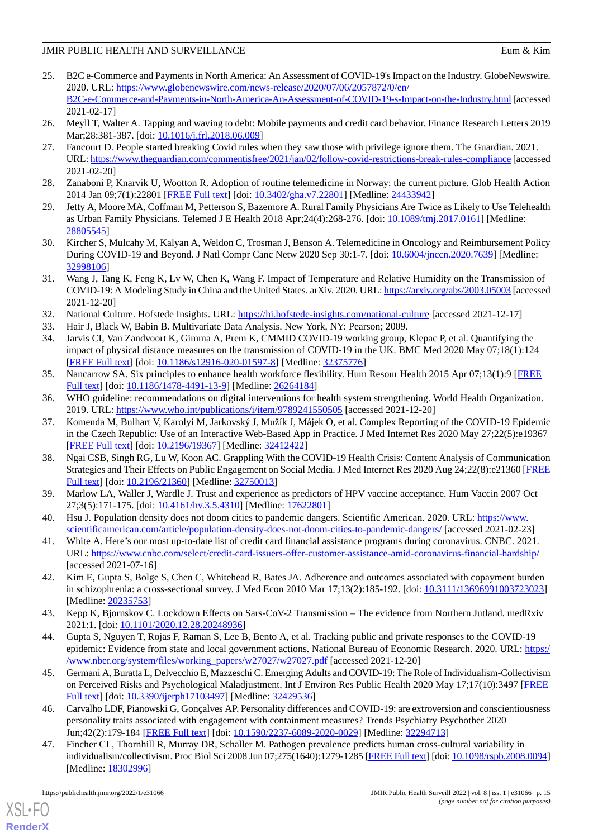- <span id="page-14-0"></span>25. B2C e-Commerce and Payments in North America: An Assessment of COVID-19's Impact on the Industry. GlobeNewswire. 2020. URL: [https://www.globenewswire.com/news-release/2020/07/06/2057872/0/en/](https://www.globenewswire.com/news-release/2020/07/06/2057872/0/en/B2C-e-Commerce-and-Payments-in-North-America-An-Assessment-of-COVID-19-s-Impact-on-the-Industry.html) [B2C-e-Commerce-and-Payments-in-North-America-An-Assessment-of-COVID-19-s-Impact-on-the-Industry.html](https://www.globenewswire.com/news-release/2020/07/06/2057872/0/en/B2C-e-Commerce-and-Payments-in-North-America-An-Assessment-of-COVID-19-s-Impact-on-the-Industry.html) [accessed 2021-02-17]
- <span id="page-14-2"></span><span id="page-14-1"></span>26. Meyll T, Walter A. Tapping and waving to debt: Mobile payments and credit card behavior. Finance Research Letters 2019 Mar; 28:381-387. [doi: [10.1016/j.frl.2018.06.009\]](http://dx.doi.org/10.1016/j.frl.2018.06.009)
- 27. Fancourt D. People started breaking Covid rules when they saw those with privilege ignore them. The Guardian. 2021. URL:<https://www.theguardian.com/commentisfree/2021/jan/02/follow-covid-restrictions-break-rules-compliance> [accessed 2021-02-20]
- <span id="page-14-4"></span><span id="page-14-3"></span>28. Zanaboni P, Knarvik U, Wootton R. Adoption of routine telemedicine in Norway: the current picture. Glob Health Action 2014 Jan 09;7(1):22801 [[FREE Full text](http://europepmc.org/abstract/MED/24433942)] [doi: [10.3402/gha.v7.22801](http://dx.doi.org/10.3402/gha.v7.22801)] [Medline: [24433942](http://www.ncbi.nlm.nih.gov/entrez/query.fcgi?cmd=Retrieve&db=PubMed&list_uids=24433942&dopt=Abstract)]
- <span id="page-14-5"></span>29. Jetty A, Moore MA, Coffman M, Petterson S, Bazemore A. Rural Family Physicians Are Twice as Likely to Use Telehealth as Urban Family Physicians. Telemed J E Health 2018 Apr;24(4):268-276. [doi: [10.1089/tmj.2017.0161\]](http://dx.doi.org/10.1089/tmj.2017.0161) [Medline: [28805545](http://www.ncbi.nlm.nih.gov/entrez/query.fcgi?cmd=Retrieve&db=PubMed&list_uids=28805545&dopt=Abstract)]
- <span id="page-14-6"></span>30. Kircher S, Mulcahy M, Kalyan A, Weldon C, Trosman J, Benson A. Telemedicine in Oncology and Reimbursement Policy During COVID-19 and Beyond. J Natl Compr Canc Netw 2020 Sep 30:1-7. [doi: [10.6004/jnccn.2020.7639](http://dx.doi.org/10.6004/jnccn.2020.7639)] [Medline: [32998106](http://www.ncbi.nlm.nih.gov/entrez/query.fcgi?cmd=Retrieve&db=PubMed&list_uids=32998106&dopt=Abstract)]
- <span id="page-14-8"></span><span id="page-14-7"></span>31. Wang J, Tang K, Feng K, Lv W, Chen K, Wang F. Impact of Temperature and Relative Humidity on the Transmission of COVID-19: A Modeling Study in China and the United States. arXiv. 2020. URL:<https://arxiv.org/abs/2003.05003> [accessed 2021-12-20]
- <span id="page-14-9"></span>32. National Culture. Hofstede Insights. URL:<https://hi.hofstede-insights.com/national-culture> [accessed 2021-12-17]
- 33. Hair J, Black W, Babin B. Multivariate Data Analysis. New York, NY: Pearson; 2009.
- <span id="page-14-10"></span>34. Jarvis CI, Van Zandvoort K, Gimma A, Prem K, CMMID COVID-19 working group, Klepac P, et al. Quantifying the impact of physical distance measures on the transmission of COVID-19 in the UK. BMC Med 2020 May 07;18(1):124 [[FREE Full text](https://bmcmedicine.biomedcentral.com/articles/10.1186/s12916-020-01597-8)] [doi: [10.1186/s12916-020-01597-8\]](http://dx.doi.org/10.1186/s12916-020-01597-8) [Medline: [32375776](http://www.ncbi.nlm.nih.gov/entrez/query.fcgi?cmd=Retrieve&db=PubMed&list_uids=32375776&dopt=Abstract)]
- <span id="page-14-12"></span><span id="page-14-11"></span>35. Nancarrow SA. Six principles to enhance health workforce flexibility. Hum Resour Health 2015 Apr 07;13(1):9 [[FREE](https://human-resources-health.biomedcentral.com/articles/10.1186/1478-4491-13-9) [Full text\]](https://human-resources-health.biomedcentral.com/articles/10.1186/1478-4491-13-9) [doi: [10.1186/1478-4491-13-9\]](http://dx.doi.org/10.1186/1478-4491-13-9) [Medline: [26264184](http://www.ncbi.nlm.nih.gov/entrez/query.fcgi?cmd=Retrieve&db=PubMed&list_uids=26264184&dopt=Abstract)]
- 36. WHO guideline: recommendations on digital interventions for health system strengthening. World Health Organization. 2019. URL: <https://www.who.int/publications/i/item/9789241550505> [accessed 2021-12-20]
- <span id="page-14-13"></span>37. Komenda M, Bulhart V, Karolyi M, Jarkovský J, Mužík J, Májek O, et al. Complex Reporting of the COVID-19 Epidemic in the Czech Republic: Use of an Interactive Web-Based App in Practice. J Med Internet Res 2020 May 27;22(5):e19367 [[FREE Full text](https://www.jmir.org/2020/5/e19367/)] [doi: [10.2196/19367\]](http://dx.doi.org/10.2196/19367) [Medline: [32412422\]](http://www.ncbi.nlm.nih.gov/entrez/query.fcgi?cmd=Retrieve&db=PubMed&list_uids=32412422&dopt=Abstract)
- <span id="page-14-15"></span><span id="page-14-14"></span>38. Ngai CSB, Singh RG, Lu W, Koon AC. Grappling With the COVID-19 Health Crisis: Content Analysis of Communication Strategies and Their Effects on Public Engagement on Social Media. J Med Internet Res 2020 Aug 24;22(8):e21360 [\[FREE](https://www.jmir.org/2020/8/e21360/) [Full text\]](https://www.jmir.org/2020/8/e21360/) [doi: [10.2196/21360\]](http://dx.doi.org/10.2196/21360) [Medline: [32750013](http://www.ncbi.nlm.nih.gov/entrez/query.fcgi?cmd=Retrieve&db=PubMed&list_uids=32750013&dopt=Abstract)]
- <span id="page-14-16"></span>39. Marlow LA, Waller J, Wardle J. Trust and experience as predictors of HPV vaccine acceptance. Hum Vaccin 2007 Oct 27;3(5):171-175. [doi: [10.4161/hv.3.5.4310\]](http://dx.doi.org/10.4161/hv.3.5.4310) [Medline: [17622801](http://www.ncbi.nlm.nih.gov/entrez/query.fcgi?cmd=Retrieve&db=PubMed&list_uids=17622801&dopt=Abstract)]
- <span id="page-14-17"></span>40. Hsu J. Population density does not doom cities to pandemic dangers. Scientific American. 2020. URL: [https://www.](https://www.scientificamerican.com/article/population-density-does-not-doom-cities-to-pandemic-dangers/) [scientificamerican.com/article/population-density-does-not-doom-cities-to-pandemic-dangers/](https://www.scientificamerican.com/article/population-density-does-not-doom-cities-to-pandemic-dangers/) [accessed 2021-02-23]
- <span id="page-14-18"></span>41. White A. Here's our most up-to-date list of credit card financial assistance programs during coronavirus. CNBC. 2021. URL: <https://www.cnbc.com/select/credit-card-issuers-offer-customer-assistance-amid-coronavirus-financial-hardship/> [accessed 2021-07-16]
- <span id="page-14-19"></span>42. Kim E, Gupta S, Bolge S, Chen C, Whitehead R, Bates JA. Adherence and outcomes associated with copayment burden in schizophrenia: a cross-sectional survey. J Med Econ 2010 Mar 17;13(2):185-192. [doi: [10.3111/13696991003723023](http://dx.doi.org/10.3111/13696991003723023)] [Medline: [20235753](http://www.ncbi.nlm.nih.gov/entrez/query.fcgi?cmd=Retrieve&db=PubMed&list_uids=20235753&dopt=Abstract)]
- <span id="page-14-20"></span>43. Kepp K, Bjornskov C. Lockdown Effects on Sars-CoV-2 Transmission – The evidence from Northern Jutland. medRxiv 2021:1. [doi: [10.1101/2020.12.28.20248936\]](http://dx.doi.org/10.1101/2020.12.28.20248936)
- <span id="page-14-21"></span>44. Gupta S, Nguyen T, Rojas F, Raman S, Lee B, Bento A, et al. Tracking public and private responses to the COVID-19 epidemic: Evidence from state and local government actions. National Bureau of Economic Research. 2020. URL: [https:/](https://www.nber.org/system/files/working_papers/w27027/w27027.pdf) [/www.nber.org/system/files/working\\_papers/w27027/w27027.pdf](https://www.nber.org/system/files/working_papers/w27027/w27027.pdf) [accessed 2021-12-20]
- <span id="page-14-22"></span>45. Germani A, Buratta L, Delvecchio E, Mazzeschi C. Emerging Adults and COVID-19: The Role of Individualism-Collectivism on Perceived Risks and Psychological Maladjustment. Int J Environ Res Public Health 2020 May 17;17(10):3497 [\[FREE](https://www.mdpi.com/resolver?pii=ijerph17103497) [Full text\]](https://www.mdpi.com/resolver?pii=ijerph17103497) [doi: [10.3390/ijerph17103497\]](http://dx.doi.org/10.3390/ijerph17103497) [Medline: [32429536\]](http://www.ncbi.nlm.nih.gov/entrez/query.fcgi?cmd=Retrieve&db=PubMed&list_uids=32429536&dopt=Abstract)
- 46. Carvalho LDF, Pianowski G, Gonçalves AP. Personality differences and COVID-19: are extroversion and conscientiousness personality traits associated with engagement with containment measures? Trends Psychiatry Psychother 2020 Jun;42(2):179-184 [[FREE Full text](https://doi.org/10.1590/2237-6089-2020-0029)] [doi: [10.1590/2237-6089-2020-0029\]](http://dx.doi.org/10.1590/2237-6089-2020-0029) [Medline: [32294713\]](http://www.ncbi.nlm.nih.gov/entrez/query.fcgi?cmd=Retrieve&db=PubMed&list_uids=32294713&dopt=Abstract)
- 47. Fincher CL, Thornhill R, Murray DR, Schaller M. Pathogen prevalence predicts human cross-cultural variability in individualism/collectivism. Proc Biol Sci 2008 Jun 07;275(1640):1279-1285 [[FREE Full text](http://europepmc.org/abstract/MED/18302996)] [doi: [10.1098/rspb.2008.0094\]](http://dx.doi.org/10.1098/rspb.2008.0094) [Medline: [18302996](http://www.ncbi.nlm.nih.gov/entrez/query.fcgi?cmd=Retrieve&db=PubMed&list_uids=18302996&dopt=Abstract)]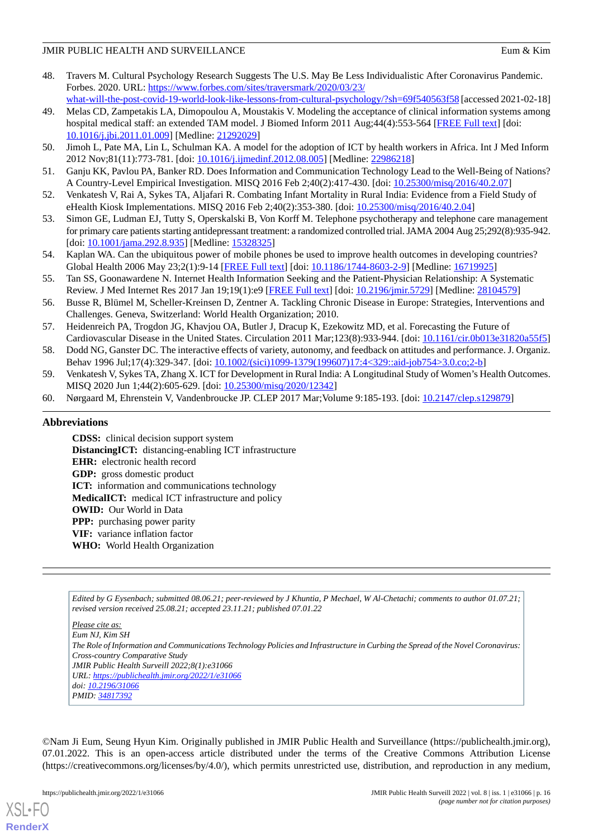- <span id="page-15-0"></span>48. Travers M. Cultural Psychology Research Suggests The U.S. May Be Less Individualistic After Coronavirus Pandemic. Forbes. 2020. URL: [https://www.forbes.com/sites/traversmark/2020/03/23/](https://www.forbes.com/sites/traversmark/2020/03/23/what-will-the-post-covid-19-world-look-like-lessons-from-cultural-psychology/?sh=69f540563f58)
- <span id="page-15-1"></span>[what-will-the-post-covid-19-world-look-like-lessons-from-cultural-psychology/?sh=69f540563f58](https://www.forbes.com/sites/traversmark/2020/03/23/what-will-the-post-covid-19-world-look-like-lessons-from-cultural-psychology/?sh=69f540563f58) [accessed 2021-02-18] 49. Melas CD, Zampetakis LA, Dimopoulou A, Moustakis V. Modeling the acceptance of clinical information systems among hospital medical staff: an extended TAM model. J Biomed Inform 2011 Aug;44(4):553-564 [[FREE Full text](https://linkinghub.elsevier.com/retrieve/pii/S1532-0464(11)00011-6)] [doi:
- [10.1016/j.jbi.2011.01.009](http://dx.doi.org/10.1016/j.jbi.2011.01.009)] [Medline: [21292029\]](http://www.ncbi.nlm.nih.gov/entrez/query.fcgi?cmd=Retrieve&db=PubMed&list_uids=21292029&dopt=Abstract) 50. Jimoh L, Pate MA, Lin L, Schulman KA. A model for the adoption of ICT by health workers in Africa. Int J Med Inform 2012 Nov;81(11):773-781. [doi: [10.1016/j.ijmedinf.2012.08.005\]](http://dx.doi.org/10.1016/j.ijmedinf.2012.08.005) [Medline: [22986218\]](http://www.ncbi.nlm.nih.gov/entrez/query.fcgi?cmd=Retrieve&db=PubMed&list_uids=22986218&dopt=Abstract)
- <span id="page-15-2"></span>51. Ganju KK, Pavlou PA, Banker RD. Does Information and Communication Technology Lead to the Well-Being of Nations? A Country-Level Empirical Investigation. MISQ 2016 Feb 2;40(2):417-430. [doi: [10.25300/misq/2016/40.2.07](http://dx.doi.org/10.25300/misq/2016/40.2.07)]
- <span id="page-15-3"></span>52. Venkatesh V, Rai A, Sykes TA, Aljafari R. Combating Infant Mortality in Rural India: Evidence from a Field Study of eHealth Kiosk Implementations. MISQ 2016 Feb 2;40(2):353-380. [doi: [10.25300/misq/2016/40.2.04\]](http://dx.doi.org/10.25300/misq/2016/40.2.04)
- <span id="page-15-5"></span>53. Simon GE, Ludman EJ, Tutty S, Operskalski B, Von Korff M. Telephone psychotherapy and telephone care management for primary care patients starting antidepressant treatment: a randomized controlled trial. JAMA 2004 Aug 25;292(8):935-942. [doi: [10.1001/jama.292.8.935](http://dx.doi.org/10.1001/jama.292.8.935)] [Medline: [15328325\]](http://www.ncbi.nlm.nih.gov/entrez/query.fcgi?cmd=Retrieve&db=PubMed&list_uids=15328325&dopt=Abstract)
- <span id="page-15-4"></span>54. Kaplan WA. Can the ubiquitous power of mobile phones be used to improve health outcomes in developing countries? Global Health 2006 May 23;2(1):9-14 [\[FREE Full text\]](https://globalizationandhealth.biomedcentral.com/articles/10.1186/1744-8603-2-9) [doi: [10.1186/1744-8603-2-9](http://dx.doi.org/10.1186/1744-8603-2-9)] [Medline: [16719925\]](http://www.ncbi.nlm.nih.gov/entrez/query.fcgi?cmd=Retrieve&db=PubMed&list_uids=16719925&dopt=Abstract)
- <span id="page-15-6"></span>55. Tan SS, Goonawardene N. Internet Health Information Seeking and the Patient-Physician Relationship: A Systematic Review. J Med Internet Res 2017 Jan 19;19(1):e9 [\[FREE Full text](https://www.jmir.org/2017/1/e9/)] [doi: [10.2196/jmir.5729\]](http://dx.doi.org/10.2196/jmir.5729) [Medline: [28104579](http://www.ncbi.nlm.nih.gov/entrez/query.fcgi?cmd=Retrieve&db=PubMed&list_uids=28104579&dopt=Abstract)]
- <span id="page-15-7"></span>56. Busse R, Blümel M, Scheller-Kreinsen D, Zentner A. Tackling Chronic Disease in Europe: Strategies, Interventions and Challenges. Geneva, Switzerland: World Health Organization; 2010.
- <span id="page-15-9"></span><span id="page-15-8"></span>57. Heidenreich PA, Trogdon JG, Khavjou OA, Butler J, Dracup K, Ezekowitz MD, et al. Forecasting the Future of Cardiovascular Disease in the United States. Circulation 2011 Mar;123(8):933-944. [doi: [10.1161/cir.0b013e31820a55f5](http://dx.doi.org/10.1161/cir.0b013e31820a55f5)]
- <span id="page-15-10"></span>58. Dodd NG, Ganster DC. The interactive effects of variety, autonomy, and feedback on attitudes and performance. J. Organiz. Behav 1996 Jul;17(4):329-347. [doi: [10.1002/\(sici\)1099-1379\(199607\)17:4<329::aid-job754>3.0.co;2-b\]](http://dx.doi.org/10.1002/(sici)1099-1379(199607)17:4<329::aid-job754>3.0.co;2-b)
- 59. Venkatesh V, Sykes TA, Zhang X. ICT for Development in Rural India: A Longitudinal Study of Women's Health Outcomes. MISQ 2020 Jun 1;44(2):605-629. [doi: [10.25300/misq/2020/12342](http://dx.doi.org/10.25300/misq/2020/12342)]
- 60. Nørgaard M, Ehrenstein V, Vandenbroucke JP. CLEP 2017 Mar;Volume 9:185-193. [doi: [10.2147/clep.s129879\]](http://dx.doi.org/10.2147/clep.s129879)

# **Abbreviations**

**CDSS:** clinical decision support system **DistancingICT:** distancing-enabling ICT infrastructure **EHR:** electronic health record **GDP:** gross domestic product **ICT:** information and communications technology **MedicalICT:** medical ICT infrastructure and policy **OWID:** Our World in Data **PPP:** purchasing power parity **VIF:** variance inflation factor **WHO:** World Health Organization

*Edited by G Eysenbach; submitted 08.06.21; peer-reviewed by J Khuntia, P Mechael, W Al-Chetachi; comments to author 01.07.21; revised version received 25.08.21; accepted 23.11.21; published 07.01.22*

*Please cite as: Eum NJ, Kim SH The Role of Information and Communications Technology Policies and Infrastructure in Curbing the Spread of the Novel Coronavirus: Cross-country Comparative Study JMIR Public Health Surveill 2022;8(1):e31066 URL: <https://publichealth.jmir.org/2022/1/e31066> doi: [10.2196/31066](http://dx.doi.org/10.2196/31066) PMID: [34817392](http://www.ncbi.nlm.nih.gov/entrez/query.fcgi?cmd=Retrieve&db=PubMed&list_uids=34817392&dopt=Abstract)*

©Nam Ji Eum, Seung Hyun Kim. Originally published in JMIR Public Health and Surveillance (https://publichealth.jmir.org), 07.01.2022. This is an open-access article distributed under the terms of the Creative Commons Attribution License (https://creativecommons.org/licenses/by/4.0/), which permits unrestricted use, distribution, and reproduction in any medium,